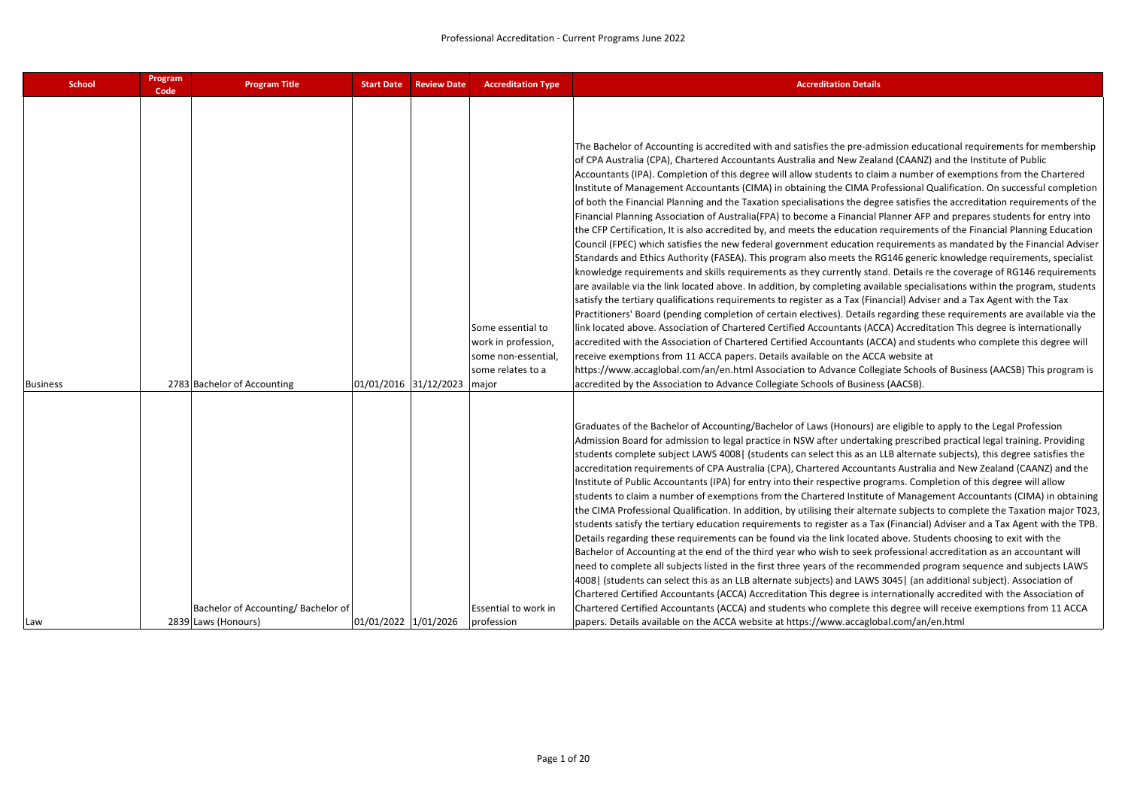| <b>School</b>   | Program<br>Code | <b>Program Title</b>                                      | <b>Start Date</b>     | <b>Review Date</b> | <b>Accreditation Type</b>                                                                     | <b>Accreditation Details</b>                                                                                                                                                                                                                                                                                                                                                                                                                                                                                                                                                                                                                                                                                                                                                                                                                                                                                                                                                                                                                                                                                                                                                                                                                                                                                                                                                                                                                                                                                                                                                                                                                                                                                                                                                                                                                                                                                                                                                                                                                                                                                                                                                                 |
|-----------------|-----------------|-----------------------------------------------------------|-----------------------|--------------------|-----------------------------------------------------------------------------------------------|----------------------------------------------------------------------------------------------------------------------------------------------------------------------------------------------------------------------------------------------------------------------------------------------------------------------------------------------------------------------------------------------------------------------------------------------------------------------------------------------------------------------------------------------------------------------------------------------------------------------------------------------------------------------------------------------------------------------------------------------------------------------------------------------------------------------------------------------------------------------------------------------------------------------------------------------------------------------------------------------------------------------------------------------------------------------------------------------------------------------------------------------------------------------------------------------------------------------------------------------------------------------------------------------------------------------------------------------------------------------------------------------------------------------------------------------------------------------------------------------------------------------------------------------------------------------------------------------------------------------------------------------------------------------------------------------------------------------------------------------------------------------------------------------------------------------------------------------------------------------------------------------------------------------------------------------------------------------------------------------------------------------------------------------------------------------------------------------------------------------------------------------------------------------------------------------|
| <b>Business</b> |                 | 2783 Bachelor of Accounting                               | 01/01/2016 31/12/2023 |                    | Some essential to<br>work in profession,<br>some non-essential,<br>some relates to a<br>major | The Bachelor of Accounting is accredited with and satisfies the pre-admission educational requirements for membership<br>of CPA Australia (CPA), Chartered Accountants Australia and New Zealand (CAANZ) and the Institute of Public<br>Accountants (IPA). Completion of this degree will allow students to claim a number of exemptions from the Chartered<br>Institute of Management Accountants (CIMA) in obtaining the CIMA Professional Qualification. On successful completion<br>of both the Financial Planning and the Taxation specialisations the degree satisfies the accreditation requirements of the<br>Financial Planning Association of Australia(FPA) to become a Financial Planner AFP and prepares students for entry into<br>the CFP Certification, It is also accredited by, and meets the education requirements of the Financial Planning Education<br>Council (FPEC) which satisfies the new federal government education requirements as mandated by the Financial Adviser<br>Standards and Ethics Authority (FASEA). This program also meets the RG146 generic knowledge requirements, specialist<br>knowledge requirements and skills requirements as they currently stand. Details re the coverage of RG146 requirements<br>are available via the link located above. In addition, by completing available specialisations within the program, students<br>satisfy the tertiary qualifications requirements to register as a Tax (Financial) Adviser and a Tax Agent with the Tax<br>Practitioners' Board (pending completion of certain electives). Details regarding these requirements are available via the<br>link located above. Association of Chartered Certified Accountants (ACCA) Accreditation This degree is internationally<br>accredited with the Association of Chartered Certified Accountants (ACCA) and students who complete this degree will<br>receive exemptions from 11 ACCA papers. Details available on the ACCA website at<br>https://www.accaglobal.com/an/en.html Association to Advance Collegiate Schools of Business (AACSB) This program is<br>accredited by the Association to Advance Collegiate Schools of Business (AACSB). |
| Law             |                 | Bachelor of Accounting/Bachelor of<br>2839 Laws (Honours) | 01/01/2022 1/01/2026  |                    | Essential to work in<br>profession                                                            | Graduates of the Bachelor of Accounting/Bachelor of Laws (Honours) are eligible to apply to the Legal Profession<br>Admission Board for admission to legal practice in NSW after undertaking prescribed practical legal training. Providing<br>students complete subject LAWS 4008   (students can select this as an LLB alternate subjects), this degree satisfies the<br>accreditation requirements of CPA Australia (CPA), Chartered Accountants Australia and New Zealand (CAANZ) and the<br>Institute of Public Accountants (IPA) for entry into their respective programs. Completion of this degree will allow<br>students to claim a number of exemptions from the Chartered Institute of Management Accountants (CIMA) in obtaining<br>the CIMA Professional Qualification. In addition, by utilising their alternate subjects to complete the Taxation major T023,<br>students satisfy the tertiary education requirements to register as a Tax (Financial) Adviser and a Tax Agent with the TPB.<br>Details regarding these requirements can be found via the link located above. Students choosing to exit with the<br>Bachelor of Accounting at the end of the third year who wish to seek professional accreditation as an accountant will<br>need to complete all subjects listed in the first three years of the recommended program sequence and subjects LAWS<br>4008   (students can select this as an LLB alternate subjects) and LAWS 3045   (an additional subject). Association of<br>Chartered Certified Accountants (ACCA) Accreditation This degree is internationally accredited with the Association of<br>Chartered Certified Accountants (ACCA) and students who complete this degree will receive exemptions from 11 ACCA<br>papers. Details available on the ACCA website at https://www.accaglobal.com/an/en.html                                                                                                                                                                                                                                                                                                                                           |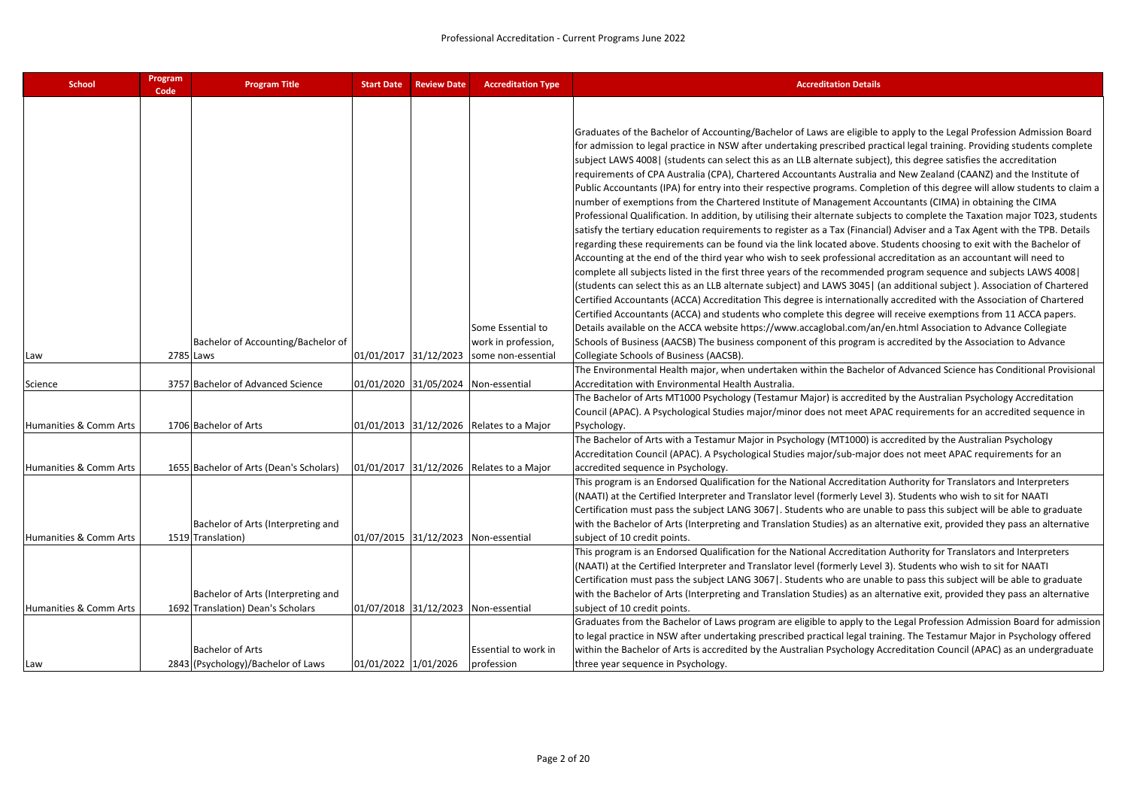| <b>School</b>                     | Program<br>Code | <b>Program Title</b>                                         | <b>Start Date</b>     | <b>Review Date</b> | <b>Accreditation Type</b>                                   | <b>Accreditation Details</b>                                                                                                                                                                                                                                                                                                                                                                                                                                                                                                                                                                                                                                                                                                                                                                                                                                                                                                                                                                                                                                                                                                                                                                                                                                                                                                                                                                                                                                                                                                                                                                                                                                                                                                                                                                                                                                         |
|-----------------------------------|-----------------|--------------------------------------------------------------|-----------------------|--------------------|-------------------------------------------------------------|----------------------------------------------------------------------------------------------------------------------------------------------------------------------------------------------------------------------------------------------------------------------------------------------------------------------------------------------------------------------------------------------------------------------------------------------------------------------------------------------------------------------------------------------------------------------------------------------------------------------------------------------------------------------------------------------------------------------------------------------------------------------------------------------------------------------------------------------------------------------------------------------------------------------------------------------------------------------------------------------------------------------------------------------------------------------------------------------------------------------------------------------------------------------------------------------------------------------------------------------------------------------------------------------------------------------------------------------------------------------------------------------------------------------------------------------------------------------------------------------------------------------------------------------------------------------------------------------------------------------------------------------------------------------------------------------------------------------------------------------------------------------------------------------------------------------------------------------------------------------|
|                                   |                 |                                                              |                       |                    | Some Essential to                                           | Graduates of the Bachelor of Accounting/Bachelor of Laws are eligible to apply to the Legal Profession Admission Board<br>for admission to legal practice in NSW after undertaking prescribed practical legal training. Providing students complete<br>subject LAWS 4008   (students can select this as an LLB alternate subject), this degree satisfies the accreditation<br>requirements of CPA Australia (CPA), Chartered Accountants Australia and New Zealand (CAANZ) and the Institute of<br>Public Accountants (IPA) for entry into their respective programs. Completion of this degree will allow students to claim a<br>number of exemptions from the Chartered Institute of Management Accountants (CIMA) in obtaining the CIMA<br>Professional Qualification. In addition, by utilising their alternate subjects to complete the Taxation major T023, students<br>satisfy the tertiary education requirements to register as a Tax (Financial) Adviser and a Tax Agent with the TPB. Details<br>regarding these requirements can be found via the link located above. Students choosing to exit with the Bachelor of<br>Accounting at the end of the third year who wish to seek professional accreditation as an accountant will need to<br>complete all subjects listed in the first three years of the recommended program sequence and subjects LAWS 4008<br>(students can select this as an LLB alternate subject) and LAWS 3045   (an additional subject ). Association of Chartered<br>Certified Accountants (ACCA) Accreditation This degree is internationally accredited with the Association of Chartered<br>Certified Accountants (ACCA) and students who complete this degree will receive exemptions from 11 ACCA papers.<br>Details available on the ACCA website https://www.accaglobal.com/an/en.html Association to Advance Collegiate |
|                                   |                 | Bachelor of Accounting/Bachelor of                           |                       |                    | work in profession,                                         | Schools of Business (AACSB) The business component of this program is accredited by the Association to Advance                                                                                                                                                                                                                                                                                                                                                                                                                                                                                                                                                                                                                                                                                                                                                                                                                                                                                                                                                                                                                                                                                                                                                                                                                                                                                                                                                                                                                                                                                                                                                                                                                                                                                                                                                       |
| Law                               |                 | 2785 Laws                                                    | 01/01/2017 31/12/2023 |                    | some non-essential                                          | Collegiate Schools of Business (AACSB).                                                                                                                                                                                                                                                                                                                                                                                                                                                                                                                                                                                                                                                                                                                                                                                                                                                                                                                                                                                                                                                                                                                                                                                                                                                                                                                                                                                                                                                                                                                                                                                                                                                                                                                                                                                                                              |
| Science                           |                 | 3757 Bachelor of Advanced Science                            |                       |                    | 01/01/2020 31/05/2024 Non-essential                         | The Environmental Health major, when undertaken within the Bachelor of Advanced Science has Conditional Provisional<br>Accreditation with Environmental Health Australia.                                                                                                                                                                                                                                                                                                                                                                                                                                                                                                                                                                                                                                                                                                                                                                                                                                                                                                                                                                                                                                                                                                                                                                                                                                                                                                                                                                                                                                                                                                                                                                                                                                                                                            |
| Humanities & Comm Arts            |                 | 1706 Bachelor of Arts                                        |                       |                    | 01/01/2013 31/12/2026 Relates to a Major                    | The Bachelor of Arts MT1000 Psychology (Testamur Major) is accredited by the Australian Psychology Accreditation<br>Council (APAC). A Psychological Studies major/minor does not meet APAC requirements for an accredited sequence in<br>Psychology.                                                                                                                                                                                                                                                                                                                                                                                                                                                                                                                                                                                                                                                                                                                                                                                                                                                                                                                                                                                                                                                                                                                                                                                                                                                                                                                                                                                                                                                                                                                                                                                                                 |
| <b>Humanities &amp; Comm Arts</b> |                 | 1655 Bachelor of Arts (Dean's Scholars)                      |                       |                    | 01/01/2017 31/12/2026 Relates to a Major                    | The Bachelor of Arts with a Testamur Major in Psychology (MT1000) is accredited by the Australian Psychology<br>Accreditation Council (APAC). A Psychological Studies major/sub-major does not meet APAC requirements for an<br>accredited sequence in Psychology.                                                                                                                                                                                                                                                                                                                                                                                                                                                                                                                                                                                                                                                                                                                                                                                                                                                                                                                                                                                                                                                                                                                                                                                                                                                                                                                                                                                                                                                                                                                                                                                                   |
| Humanities & Comm Arts            |                 | Bachelor of Arts (Interpreting and<br>1519 Translation)      |                       |                    | 01/07/2015 31/12/2023 Non-essential                         | This program is an Endorsed Qualification for the National Accreditation Authority for Translators and Interpreters<br>(NAATI) at the Certified Interpreter and Translator level (formerly Level 3). Students who wish to sit for NAATI<br>Certification must pass the subject LANG 3067  . Students who are unable to pass this subject will be able to graduate<br>with the Bachelor of Arts (Interpreting and Translation Studies) as an alternative exit, provided they pass an alternative<br>subject of 10 credit points.                                                                                                                                                                                                                                                                                                                                                                                                                                                                                                                                                                                                                                                                                                                                                                                                                                                                                                                                                                                                                                                                                                                                                                                                                                                                                                                                      |
|                                   |                 | Bachelor of Arts (Interpreting and                           |                       |                    |                                                             | This program is an Endorsed Qualification for the National Accreditation Authority for Translators and Interpreters<br>(NAATI) at the Certified Interpreter and Translator level (formerly Level 3). Students who wish to sit for NAATI<br>Certification must pass the subject LANG 3067  . Students who are unable to pass this subject will be able to graduate<br>with the Bachelor of Arts (Interpreting and Translation Studies) as an alternative exit, provided they pass an alternative                                                                                                                                                                                                                                                                                                                                                                                                                                                                                                                                                                                                                                                                                                                                                                                                                                                                                                                                                                                                                                                                                                                                                                                                                                                                                                                                                                      |
| Humanities & Comm Arts            |                 | 1692 Translation) Dean's Scholars<br><b>Bachelor of Arts</b> |                       |                    | 01/07/2018 31/12/2023 Non-essential<br>Essential to work in | subject of 10 credit points.<br>Graduates from the Bachelor of Laws program are eligible to apply to the Legal Profession Admission Board for admission<br>to legal practice in NSW after undertaking prescribed practical legal training. The Testamur Major in Psychology offered<br>within the Bachelor of Arts is accredited by the Australian Psychology Accreditation Council (APAC) as an undergraduate                                                                                                                                                                                                                                                                                                                                                                                                                                                                                                                                                                                                                                                                                                                                                                                                                                                                                                                                                                                                                                                                                                                                                                                                                                                                                                                                                                                                                                                       |
| Law                               |                 | 2843 (Psychology)/Bachelor of Laws                           | 01/01/2022 1/01/2026  |                    | profession                                                  | three year sequence in Psychology.                                                                                                                                                                                                                                                                                                                                                                                                                                                                                                                                                                                                                                                                                                                                                                                                                                                                                                                                                                                                                                                                                                                                                                                                                                                                                                                                                                                                                                                                                                                                                                                                                                                                                                                                                                                                                                   |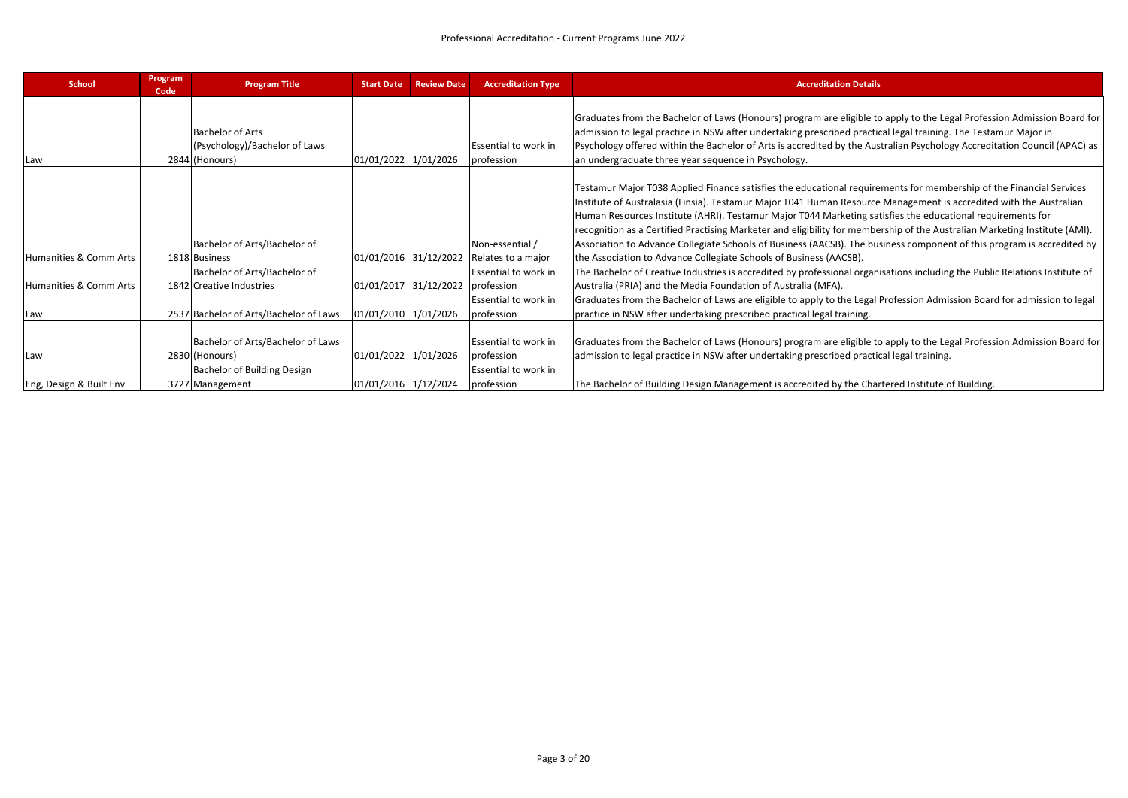| <b>School</b>           | Program<br>Code | <b>Program Title</b>                                                | <b>Start Date</b>     | <b>Review Date</b> | <b>Accreditation Type</b>                 | <b>Accreditation Details</b>                                                                                                                                                                                                                                                                                                                                                                                                                                                                                                                                                                                    |
|-------------------------|-----------------|---------------------------------------------------------------------|-----------------------|--------------------|-------------------------------------------|-----------------------------------------------------------------------------------------------------------------------------------------------------------------------------------------------------------------------------------------------------------------------------------------------------------------------------------------------------------------------------------------------------------------------------------------------------------------------------------------------------------------------------------------------------------------------------------------------------------------|
| Law                     |                 | Bachelor of Arts<br>(Psychology)/Bachelor of Laws<br>2844 (Honours) | 01/01/2022 1/01/2026  |                    | Essential to work in<br>profession        | Graduates from the Bachelor of Laws (Honours) program are eligible to apply to the Legal Profession Admission Board for<br>admission to legal practice in NSW after undertaking prescribed practical legal training. The Testamur Major in<br>Psychology offered within the Bachelor of Arts is accredited by the Australian Psychology Accreditation Council (APAC) as<br>an undergraduate three year sequence in Psychology.                                                                                                                                                                                  |
|                         |                 | Bachelor of Arts/Bachelor of                                        |                       |                    | Non-essential /                           | Testamur Major T038 Applied Finance satisfies the educational requirements for membership of the Financial Services<br>Institute of Australasia (Finsia). Testamur Major T041 Human Resource Management is accredited with the Australian<br>Human Resources Institute (AHRI). Testamur Major T044 Marketing satisfies the educational requirements for<br>recognition as a Certified Practising Marketer and eligibility for membership of the Australian Marketing Institute (AMI).<br>Association to Advance Collegiate Schools of Business (AACSB). The business component of this program is accredited by |
| Humanities & Comm Arts  |                 | 1818 Business                                                       |                       |                    | 01/01/2016 31/12/2022 Relates to a major  | the Association to Advance Collegiate Schools of Business (AACSB).                                                                                                                                                                                                                                                                                                                                                                                                                                                                                                                                              |
| Humanities & Comm Arts  |                 | Bachelor of Arts/Bachelor of<br>1842 Creative Industries            | 01/01/2017 31/12/2022 |                    | Essential to work in<br>profession        | The Bachelor of Creative Industries is accredited by professional organisations including the Public Relations Institute of<br>Australia (PRIA) and the Media Foundation of Australia (MFA).                                                                                                                                                                                                                                                                                                                                                                                                                    |
| Law                     |                 | 2537 Bachelor of Arts/Bachelor of Laws                              | 01/01/2010 1/01/2026  |                    | <b>Essential to work in</b><br>profession | Graduates from the Bachelor of Laws are eligible to apply to the Legal Profession Admission Board for admission to legal<br>practice in NSW after undertaking prescribed practical legal training.                                                                                                                                                                                                                                                                                                                                                                                                              |
| Law                     |                 | Bachelor of Arts/Bachelor of Laws<br>2830 (Honours)                 | 01/01/2022 1/01/2026  |                    | <b>Essential to work in</b><br>profession | Graduates from the Bachelor of Laws (Honours) program are eligible to apply to the Legal Profession Admission Board for<br>admission to legal practice in NSW after undertaking prescribed practical legal training.                                                                                                                                                                                                                                                                                                                                                                                            |
|                         |                 | <b>Bachelor of Building Design</b>                                  |                       |                    | <b>Essential to work in</b>               |                                                                                                                                                                                                                                                                                                                                                                                                                                                                                                                                                                                                                 |
| Eng, Design & Built Env |                 | 3727 Management                                                     | 01/01/2016 1/12/2024  |                    | profession                                | The Bachelor of Building Design Management is accredited by the Chartered Institute of Building.                                                                                                                                                                                                                                                                                                                                                                                                                                                                                                                |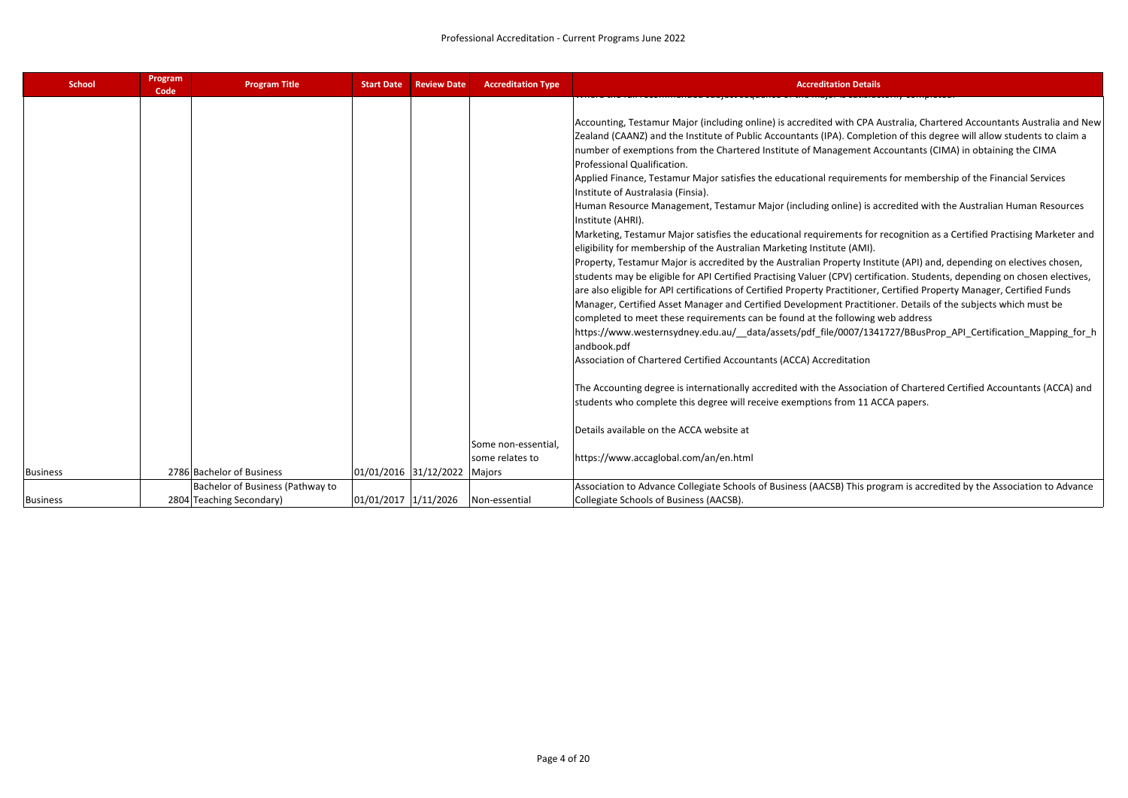| <b>School</b>   | Program<br>Code | <b>Program Title</b>             | <b>Start Date</b>            | <b>Review Date</b> | <b>Accreditation Type</b>              | <b>Accreditation Details</b>                                                                                                                                                                                                                                                                                                                                                                                                                                                                                                                                                                                                                                                                                                                                                                                                                                                                                                                                                                                                                                                                                                                                                                                                                                                                                                                                                                                                                                                                                                                                                                                                                                                                                                                                                                                               |
|-----------------|-----------------|----------------------------------|------------------------------|--------------------|----------------------------------------|----------------------------------------------------------------------------------------------------------------------------------------------------------------------------------------------------------------------------------------------------------------------------------------------------------------------------------------------------------------------------------------------------------------------------------------------------------------------------------------------------------------------------------------------------------------------------------------------------------------------------------------------------------------------------------------------------------------------------------------------------------------------------------------------------------------------------------------------------------------------------------------------------------------------------------------------------------------------------------------------------------------------------------------------------------------------------------------------------------------------------------------------------------------------------------------------------------------------------------------------------------------------------------------------------------------------------------------------------------------------------------------------------------------------------------------------------------------------------------------------------------------------------------------------------------------------------------------------------------------------------------------------------------------------------------------------------------------------------------------------------------------------------------------------------------------------------|
|                 |                 |                                  |                              |                    |                                        | Accounting, Testamur Major (including online) is accredited with CPA Australia, Chartered Accountants Australia and New<br>Zealand (CAANZ) and the Institute of Public Accountants (IPA). Completion of this degree will allow students to claim a<br>number of exemptions from the Chartered Institute of Management Accountants (CIMA) in obtaining the CIMA<br>Professional Qualification.<br>Applied Finance, Testamur Major satisfies the educational requirements for membership of the Financial Services<br>Institute of Australasia (Finsia).<br>Human Resource Management, Testamur Major (including online) is accredited with the Australian Human Resources<br>Institute (AHRI).<br>Marketing, Testamur Major satisfies the educational requirements for recognition as a Certified Practising Marketer and<br>eligibility for membership of the Australian Marketing Institute (AMI).<br>Property, Testamur Major is accredited by the Australian Property Institute (API) and, depending on electives chosen,<br>students may be eligible for API Certified Practising Valuer (CPV) certification. Students, depending on chosen electives,<br>are also eligible for API certifications of Certified Property Practitioner, Certified Property Manager, Certified Funds<br>Manager, Certified Asset Manager and Certified Development Practitioner. Details of the subjects which must be<br>completed to meet these requirements can be found at the following web address<br>https://www.westernsydney.edu.au/ data/assets/pdf file/0007/1341727/BBusProp API Certification Mapping for h<br>andbook.pdf<br>Association of Chartered Certified Accountants (ACCA) Accreditation<br>The Accounting degree is internationally accredited with the Association of Chartered Certified Accountants (ACCA) and |
|                 |                 |                                  |                              |                    |                                        | students who complete this degree will receive exemptions from 11 ACCA papers.                                                                                                                                                                                                                                                                                                                                                                                                                                                                                                                                                                                                                                                                                                                                                                                                                                                                                                                                                                                                                                                                                                                                                                                                                                                                                                                                                                                                                                                                                                                                                                                                                                                                                                                                             |
|                 |                 |                                  |                              |                    |                                        | Details available on the ACCA website at                                                                                                                                                                                                                                                                                                                                                                                                                                                                                                                                                                                                                                                                                                                                                                                                                                                                                                                                                                                                                                                                                                                                                                                                                                                                                                                                                                                                                                                                                                                                                                                                                                                                                                                                                                                   |
| <b>Business</b> |                 | 2786 Bachelor of Business        | 01/01/2016 31/12/2022 Majors |                    | Some non-essential,<br>some relates to | https://www.accaglobal.com/an/en.html                                                                                                                                                                                                                                                                                                                                                                                                                                                                                                                                                                                                                                                                                                                                                                                                                                                                                                                                                                                                                                                                                                                                                                                                                                                                                                                                                                                                                                                                                                                                                                                                                                                                                                                                                                                      |
|                 |                 | Bachelor of Business (Pathway to |                              |                    |                                        | Association to Advance Collegiate Schools of Business (AACSB) This program is accredited by the Association to Advance                                                                                                                                                                                                                                                                                                                                                                                                                                                                                                                                                                                                                                                                                                                                                                                                                                                                                                                                                                                                                                                                                                                                                                                                                                                                                                                                                                                                                                                                                                                                                                                                                                                                                                     |
| <b>Business</b> |                 | 2804 Teaching Secondary)         |                              |                    | 01/01/2017 1/11/2026 Non-essential     | Collegiate Schools of Business (AACSB).                                                                                                                                                                                                                                                                                                                                                                                                                                                                                                                                                                                                                                                                                                                                                                                                                                                                                                                                                                                                                                                                                                                                                                                                                                                                                                                                                                                                                                                                                                                                                                                                                                                                                                                                                                                    |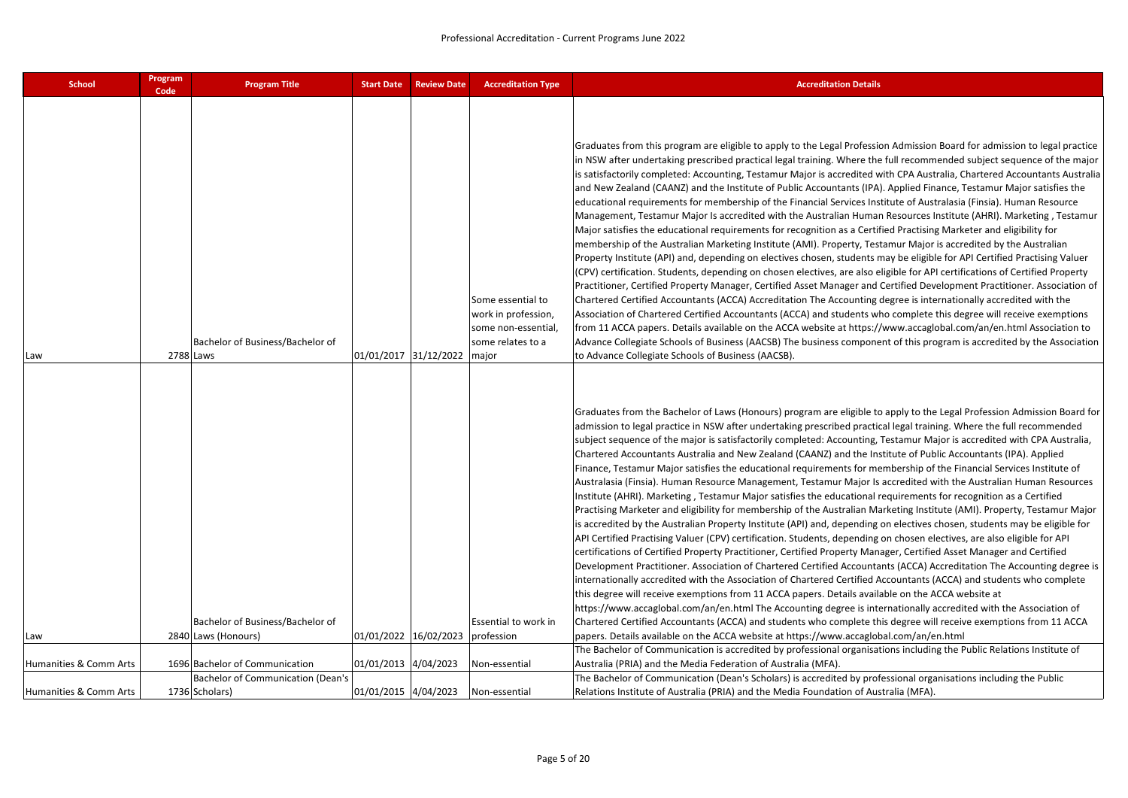| <b>School</b>          | Program<br>Code | <b>Program Title</b>                                       | <b>Start Date</b>     | <b>Review Date</b> | <b>Accreditation Type</b>                                                                     | <b>Accreditation Details</b>                                                                                                                                                                                                                                                                                                                                                                                                                                                                                                                                                                                                                                                                                                                                                                                                                                                                                                                                                                                                                                                                                                                                                                                                                                                                                                                                                                                                                                                                                                                                                                                                                                                                                                                                                                                                                                                                                                                                                                                                                                                                                                                                                                  |
|------------------------|-----------------|------------------------------------------------------------|-----------------------|--------------------|-----------------------------------------------------------------------------------------------|-----------------------------------------------------------------------------------------------------------------------------------------------------------------------------------------------------------------------------------------------------------------------------------------------------------------------------------------------------------------------------------------------------------------------------------------------------------------------------------------------------------------------------------------------------------------------------------------------------------------------------------------------------------------------------------------------------------------------------------------------------------------------------------------------------------------------------------------------------------------------------------------------------------------------------------------------------------------------------------------------------------------------------------------------------------------------------------------------------------------------------------------------------------------------------------------------------------------------------------------------------------------------------------------------------------------------------------------------------------------------------------------------------------------------------------------------------------------------------------------------------------------------------------------------------------------------------------------------------------------------------------------------------------------------------------------------------------------------------------------------------------------------------------------------------------------------------------------------------------------------------------------------------------------------------------------------------------------------------------------------------------------------------------------------------------------------------------------------------------------------------------------------------------------------------------------------|
| Law                    |                 | Bachelor of Business/Bachelor of<br>2788 Laws              | 01/01/2017 31/12/2022 |                    | Some essential to<br>work in profession,<br>some non-essential,<br>some relates to a<br>major | Graduates from this program are eligible to apply to the Legal Profession Admission Board for admission to legal practice<br>in NSW after undertaking prescribed practical legal training. Where the full recommended subject sequence of the major<br>is satisfactorily completed: Accounting, Testamur Major is accredited with CPA Australia, Chartered Accountants Australia<br>and New Zealand (CAANZ) and the Institute of Public Accountants (IPA). Applied Finance, Testamur Major satisfies the<br>educational requirements for membership of the Financial Services Institute of Australasia (Finsia). Human Resource<br>Management, Testamur Major Is accredited with the Australian Human Resources Institute (AHRI). Marketing, Testamur<br>Major satisfies the educational requirements for recognition as a Certified Practising Marketer and eligibility for<br>membership of the Australian Marketing Institute (AMI). Property, Testamur Major is accredited by the Australian<br>Property Institute (API) and, depending on electives chosen, students may be eligible for API Certified Practising Valuer<br>(CPV) certification. Students, depending on chosen electives, are also eligible for API certifications of Certified Property<br>Practitioner, Certified Property Manager, Certified Asset Manager and Certified Development Practitioner. Association of<br>Chartered Certified Accountants (ACCA) Accreditation The Accounting degree is internationally accredited with the<br>Association of Chartered Certified Accountants (ACCA) and students who complete this degree will receive exemptions<br>from 11 ACCA papers. Details available on the ACCA website at https://www.accaglobal.com/an/en.html Association to<br>Advance Collegiate Schools of Business (AACSB) The business component of this program is accredited by the Association<br>to Advance Collegiate Schools of Business (AACSB).                                                                                                                                                                                                                                                   |
| Law                    |                 | Bachelor of Business/Bachelor of<br>2840 Laws (Honours)    | 01/01/2022 16/02/2023 |                    | Essential to work in<br>profession                                                            | Graduates from the Bachelor of Laws (Honours) program are eligible to apply to the Legal Profession Admission Board for<br>admission to legal practice in NSW after undertaking prescribed practical legal training. Where the full recommended<br>subject sequence of the major is satisfactorily completed: Accounting, Testamur Major is accredited with CPA Australia,<br>Chartered Accountants Australia and New Zealand (CAANZ) and the Institute of Public Accountants (IPA). Applied<br>Finance, Testamur Major satisfies the educational requirements for membership of the Financial Services Institute of<br>Australasia (Finsia). Human Resource Management, Testamur Major Is accredited with the Australian Human Resources<br>Institute (AHRI). Marketing, Testamur Major satisfies the educational requirements for recognition as a Certified<br>Practising Marketer and eligibility for membership of the Australian Marketing Institute (AMI). Property, Testamur Major<br>is accredited by the Australian Property Institute (API) and, depending on electives chosen, students may be eligible for<br>API Certified Practising Valuer (CPV) certification. Students, depending on chosen electives, are also eligible for API<br>certifications of Certified Property Practitioner, Certified Property Manager, Certified Asset Manager and Certified<br>Development Practitioner. Association of Chartered Certified Accountants (ACCA) Accreditation The Accounting degree is<br>internationally accredited with the Association of Chartered Certified Accountants (ACCA) and students who complete<br>this degree will receive exemptions from 11 ACCA papers. Details available on the ACCA website at<br>https://www.accaglobal.com/an/en.html The Accounting degree is internationally accredited with the Association of<br>Chartered Certified Accountants (ACCA) and students who complete this degree will receive exemptions from 11 ACCA<br>papers. Details available on the ACCA website at https://www.accaglobal.com/an/en.html<br>The Bachelor of Communication is accredited by professional organisations including the Public Relations Institute of |
| Humanities & Comm Arts |                 | 1696 Bachelor of Communication                             | 01/01/2013 4/04/2023  |                    | Non-essential                                                                                 | Australia (PRIA) and the Media Federation of Australia (MFA).                                                                                                                                                                                                                                                                                                                                                                                                                                                                                                                                                                                                                                                                                                                                                                                                                                                                                                                                                                                                                                                                                                                                                                                                                                                                                                                                                                                                                                                                                                                                                                                                                                                                                                                                                                                                                                                                                                                                                                                                                                                                                                                                 |
| Humanities & Comm Arts |                 | <b>Bachelor of Communication (Dean's</b><br>1736 Scholars) | 01/01/2015 4/04/2023  |                    | Non-essential                                                                                 | The Bachelor of Communication (Dean's Scholars) is accredited by professional organisations including the Public<br>Relations Institute of Australia (PRIA) and the Media Foundation of Australia (MFA).                                                                                                                                                                                                                                                                                                                                                                                                                                                                                                                                                                                                                                                                                                                                                                                                                                                                                                                                                                                                                                                                                                                                                                                                                                                                                                                                                                                                                                                                                                                                                                                                                                                                                                                                                                                                                                                                                                                                                                                      |
|                        |                 |                                                            |                       |                    |                                                                                               |                                                                                                                                                                                                                                                                                                                                                                                                                                                                                                                                                                                                                                                                                                                                                                                                                                                                                                                                                                                                                                                                                                                                                                                                                                                                                                                                                                                                                                                                                                                                                                                                                                                                                                                                                                                                                                                                                                                                                                                                                                                                                                                                                                                               |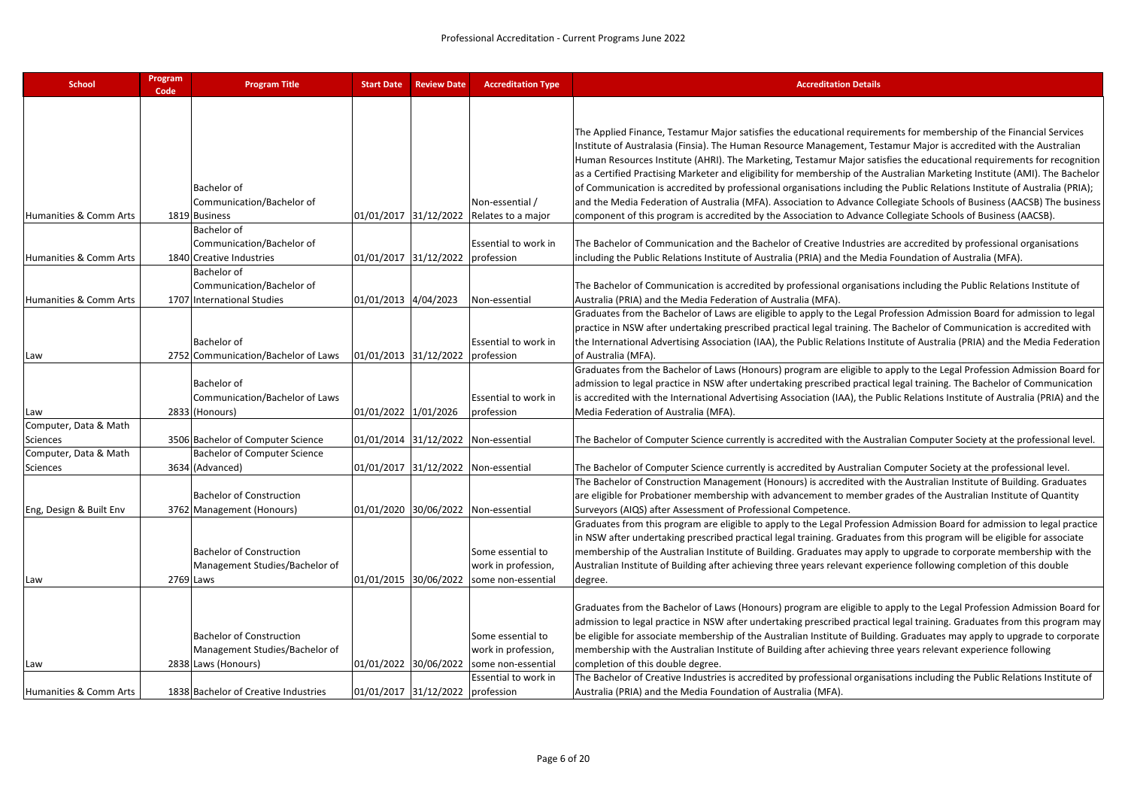| <b>School</b>           | Program<br>Code | <b>Program Title</b>                          | <b>Start Date</b>     | <b>Review Date</b> | <b>Accreditation Type</b>           | <b>Accreditation Details</b>                                                                                                                                                                                                                              |
|-------------------------|-----------------|-----------------------------------------------|-----------------------|--------------------|-------------------------------------|-----------------------------------------------------------------------------------------------------------------------------------------------------------------------------------------------------------------------------------------------------------|
|                         |                 |                                               |                       |                    |                                     |                                                                                                                                                                                                                                                           |
|                         |                 |                                               |                       |                    |                                     | The Applied Finance, Testamur Major satisfies the educational requirements for membership of the Financial Services                                                                                                                                       |
|                         |                 |                                               |                       |                    |                                     | Institute of Australasia (Finsia). The Human Resource Management, Testamur Major is accredited with the Australian                                                                                                                                        |
|                         |                 |                                               |                       |                    |                                     | Human Resources Institute (AHRI). The Marketing, Testamur Major satisfies the educational requirements for recognition                                                                                                                                    |
|                         |                 |                                               |                       |                    |                                     | as a Certified Practising Marketer and eligibility for membership of the Australian Marketing Institute (AMI). The Bachelor                                                                                                                               |
|                         |                 | Bachelor of                                   |                       |                    |                                     | of Communication is accredited by professional organisations including the Public Relations Institute of Australia (PRIA);                                                                                                                                |
|                         |                 | Communication/Bachelor of                     |                       |                    | Non-essential /                     | and the Media Federation of Australia (MFA). Association to Advance Collegiate Schools of Business (AACSB) The business                                                                                                                                   |
| Humanities & Comm Arts  |                 | 1819 Business                                 | 01/01/2017 31/12/2022 |                    | Relates to a major                  | component of this program is accredited by the Association to Advance Collegiate Schools of Business (AACSB).                                                                                                                                             |
|                         |                 | Bachelor of<br>Communication/Bachelor of      |                       |                    | Essential to work in                | The Bachelor of Communication and the Bachelor of Creative Industries are accredited by professional organisations                                                                                                                                        |
| Humanities & Comm Arts  |                 | 1840 Creative Industries                      | 01/01/2017 31/12/2022 |                    | profession                          | including the Public Relations Institute of Australia (PRIA) and the Media Foundation of Australia (MFA).                                                                                                                                                 |
|                         |                 | Bachelor of                                   |                       |                    |                                     |                                                                                                                                                                                                                                                           |
|                         |                 | Communication/Bachelor of                     |                       |                    |                                     | The Bachelor of Communication is accredited by professional organisations including the Public Relations Institute of                                                                                                                                     |
| Humanities & Comm Arts  |                 | 1707 International Studies                    | 01/01/2013 4/04/2023  |                    | Non-essential                       | Australia (PRIA) and the Media Federation of Australia (MFA).                                                                                                                                                                                             |
|                         |                 |                                               |                       |                    |                                     | Graduates from the Bachelor of Laws are eligible to apply to the Legal Profession Admission Board for admission to legal                                                                                                                                  |
|                         |                 |                                               |                       |                    |                                     | practice in NSW after undertaking prescribed practical legal training. The Bachelor of Communication is accredited with                                                                                                                                   |
|                         |                 | Bachelor of                                   |                       |                    | Essential to work in                | the International Advertising Association (IAA), the Public Relations Institute of Australia (PRIA) and the Media Federation                                                                                                                              |
| Law                     |                 | 2752 Communication/Bachelor of Laws           | 01/01/2013 31/12/2022 |                    | profession                          | of Australia (MFA).                                                                                                                                                                                                                                       |
|                         |                 |                                               |                       |                    |                                     | Graduates from the Bachelor of Laws (Honours) program are eligible to apply to the Legal Profession Admission Board for                                                                                                                                   |
|                         |                 | Bachelor of<br>Communication/Bachelor of Laws |                       |                    | Essential to work in                | admission to legal practice in NSW after undertaking prescribed practical legal training. The Bachelor of Communication<br>is accredited with the International Advertising Association (IAA), the Public Relations Institute of Australia (PRIA) and the |
| Law                     |                 | 2833 (Honours)                                | 01/01/2022 1/01/2026  |                    | profession                          | Media Federation of Australia (MFA).                                                                                                                                                                                                                      |
| Computer, Data & Math   |                 |                                               |                       |                    |                                     |                                                                                                                                                                                                                                                           |
| Sciences                |                 | 3506 Bachelor of Computer Science             |                       |                    | 01/01/2014 31/12/2022 Non-essential | The Bachelor of Computer Science currently is accredited with the Australian Computer Society at the professional level.                                                                                                                                  |
| Computer, Data & Math   |                 | <b>Bachelor of Computer Science</b>           |                       |                    |                                     |                                                                                                                                                                                                                                                           |
| Sciences                |                 | 3634 (Advanced)                               |                       |                    | 01/01/2017 31/12/2022 Non-essential | The Bachelor of Computer Science currently is accredited by Australian Computer Society at the professional level.                                                                                                                                        |
|                         |                 |                                               |                       |                    |                                     | The Bachelor of Construction Management (Honours) is accredited with the Australian Institute of Building. Graduates                                                                                                                                      |
|                         |                 | <b>Bachelor of Construction</b>               |                       |                    |                                     | are eligible for Probationer membership with advancement to member grades of the Australian Institute of Quantity                                                                                                                                         |
| Eng, Design & Built Env |                 | 3762 Management (Honours)                     |                       |                    | 01/01/2020 30/06/2022 Non-essential | Surveyors (AIQS) after Assessment of Professional Competence.                                                                                                                                                                                             |
|                         |                 |                                               |                       |                    |                                     | Graduates from this program are eligible to apply to the Legal Profession Admission Board for admission to legal practice                                                                                                                                 |
|                         |                 | <b>Bachelor of Construction</b>               |                       |                    | Some essential to                   | in NSW after undertaking prescribed practical legal training. Graduates from this program will be eligible for associate<br>membership of the Australian Institute of Building. Graduates may apply to upgrade to corporate membership with the           |
|                         |                 | Management Studies/Bachelor of                |                       |                    | work in profession,                 | Australian Institute of Building after achieving three years relevant experience following completion of this double                                                                                                                                      |
| Law                     |                 | 2769 Laws                                     | 01/01/2015 30/06/2022 |                    | some non-essential                  | degree.                                                                                                                                                                                                                                                   |
|                         |                 |                                               |                       |                    |                                     |                                                                                                                                                                                                                                                           |
|                         |                 |                                               |                       |                    |                                     | Graduates from the Bachelor of Laws (Honours) program are eligible to apply to the Legal Profession Admission Board for                                                                                                                                   |
|                         |                 |                                               |                       |                    |                                     | admission to legal practice in NSW after undertaking prescribed practical legal training. Graduates from this program may                                                                                                                                 |
|                         |                 | <b>Bachelor of Construction</b>               |                       |                    | Some essential to                   | be eligible for associate membership of the Australian Institute of Building. Graduates may apply to upgrade to corporate                                                                                                                                 |
|                         |                 | Management Studies/Bachelor of                |                       |                    | work in profession,                 | membership with the Australian Institute of Building after achieving three years relevant experience following                                                                                                                                            |
| Law                     |                 | 2838 Laws (Honours)                           | 01/01/2022 30/06/2022 |                    | some non-essential                  | completion of this double degree.                                                                                                                                                                                                                         |
|                         |                 |                                               |                       |                    | Essential to work in                | The Bachelor of Creative Industries is accredited by professional organisations including the Public Relations Institute of                                                                                                                               |
| Humanities & Comm Arts  |                 | 1838 Bachelor of Creative Industries          | 01/01/2017 31/12/2022 |                    | profession                          | Australia (PRIA) and the Media Foundation of Australia (MFA).                                                                                                                                                                                             |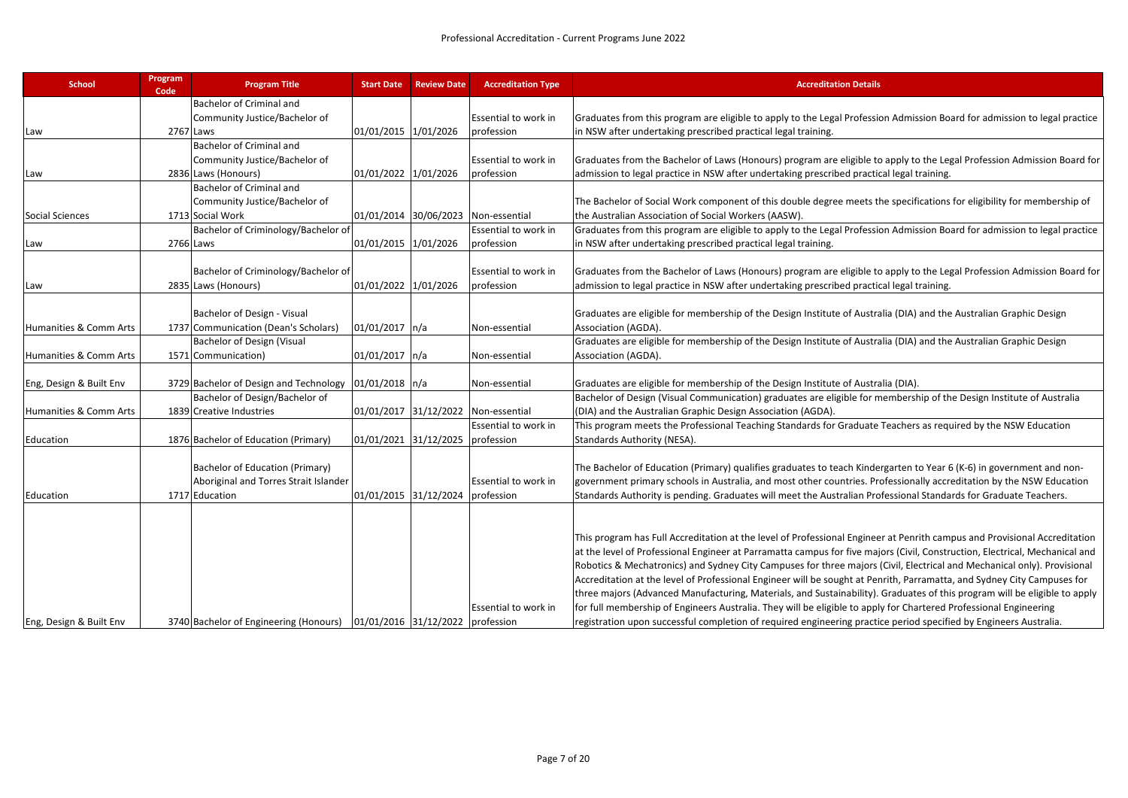| <b>School</b>           | Program<br>Code | <b>Program Title</b>                                                      | <b>Start Date</b>     | <b>Review Date</b> | <b>Accreditation Type</b>           | <b>Accreditation Details</b>                                                                                                |
|-------------------------|-----------------|---------------------------------------------------------------------------|-----------------------|--------------------|-------------------------------------|-----------------------------------------------------------------------------------------------------------------------------|
|                         |                 | Bachelor of Criminal and                                                  |                       |                    |                                     |                                                                                                                             |
|                         |                 | Community Justice/Bachelor of                                             |                       |                    | Essential to work in                | Graduates from this program are eligible to apply to the Legal Profession Admission Board for admission to legal practice   |
| Law                     | 2767 Laws       |                                                                           | 01/01/2015 1/01/2026  |                    | profession                          | in NSW after undertaking prescribed practical legal training.                                                               |
|                         |                 | Bachelor of Criminal and                                                  |                       |                    |                                     |                                                                                                                             |
|                         |                 | Community Justice/Bachelor of                                             |                       |                    | Essential to work in                | Graduates from the Bachelor of Laws (Honours) program are eligible to apply to the Legal Profession Admission Board for     |
| Law                     |                 | 2836 Laws (Honours)                                                       | 01/01/2022 1/01/2026  |                    | profession                          | admission to legal practice in NSW after undertaking prescribed practical legal training.                                   |
|                         |                 | Bachelor of Criminal and                                                  |                       |                    |                                     |                                                                                                                             |
|                         |                 | Community Justice/Bachelor of                                             |                       |                    |                                     | The Bachelor of Social Work component of this double degree meets the specifications for eligibility for membership of      |
| Social Sciences         |                 | 1713 Social Work                                                          |                       |                    | 01/01/2014 30/06/2023 Non-essential | the Australian Association of Social Workers (AASW).                                                                        |
|                         |                 | Bachelor of Criminology/Bachelor of                                       |                       |                    | Essential to work in                | Graduates from this program are eligible to apply to the Legal Profession Admission Board for admission to legal practice   |
| Law                     | 2766 Laws       |                                                                           | 01/01/2015 1/01/2026  |                    | profession                          | in NSW after undertaking prescribed practical legal training.                                                               |
|                         |                 |                                                                           |                       |                    |                                     |                                                                                                                             |
|                         |                 | Bachelor of Criminology/Bachelor of                                       |                       |                    | Essential to work in                | Graduates from the Bachelor of Laws (Honours) program are eligible to apply to the Legal Profession Admission Board for     |
| Law                     |                 | 2835 Laws (Honours)                                                       | 01/01/2022 1/01/2026  |                    | profession                          | admission to legal practice in NSW after undertaking prescribed practical legal training.                                   |
|                         |                 |                                                                           |                       |                    |                                     |                                                                                                                             |
|                         |                 | Bachelor of Design - Visual                                               |                       |                    |                                     | Graduates are eligible for membership of the Design Institute of Australia (DIA) and the Australian Graphic Design          |
| Humanities & Comm Arts  |                 | 1737 Communication (Dean's Scholars)                                      | 01/01/2017  n/a       |                    | Non-essential                       | Association (AGDA).                                                                                                         |
|                         |                 | <b>Bachelor of Design (Visual</b>                                         |                       |                    |                                     | Graduates are eligible for membership of the Design Institute of Australia (DIA) and the Australian Graphic Design          |
| Humanities & Comm Arts  |                 | 1571 Communication)                                                       | 01/01/2017   n/a      |                    | Non-essential                       | Association (AGDA).                                                                                                         |
| Eng, Design & Built Env |                 | 3729 Bachelor of Design and Technology   01/01/2018   n/a                 |                       |                    | Non-essential                       | Graduates are eligible for membership of the Design Institute of Australia (DIA).                                           |
|                         |                 | Bachelor of Design/Bachelor of                                            |                       |                    |                                     | Bachelor of Design (Visual Communication) graduates are eligible for membership of the Design Institute of Australia        |
| Humanities & Comm Arts  |                 | 1839 Creative Industries                                                  |                       |                    | 01/01/2017 31/12/2022 Non-essential | (DIA) and the Australian Graphic Design Association (AGDA).                                                                 |
|                         |                 |                                                                           |                       |                    | Essential to work in                | This program meets the Professional Teaching Standards for Graduate Teachers as required by the NSW Education               |
| Education               |                 | 1876 Bachelor of Education (Primary)                                      | 01/01/2021 31/12/2025 |                    | profession                          | Standards Authority (NESA).                                                                                                 |
|                         |                 |                                                                           |                       |                    |                                     |                                                                                                                             |
|                         |                 | <b>Bachelor of Education (Primary)</b>                                    |                       |                    |                                     | The Bachelor of Education (Primary) qualifies graduates to teach Kindergarten to Year 6 (K-6) in government and non-        |
|                         |                 | Aboriginal and Torres Strait Islander                                     |                       |                    | Essential to work in                | government primary schools in Australia, and most other countries. Professionally accreditation by the NSW Education        |
| Education               |                 | 1717 Education                                                            | 01/01/2015 31/12/2024 |                    | profession                          | Standards Authority is pending. Graduates will meet the Australian Professional Standards for Graduate Teachers.            |
|                         |                 |                                                                           |                       |                    |                                     |                                                                                                                             |
|                         |                 |                                                                           |                       |                    |                                     |                                                                                                                             |
|                         |                 |                                                                           |                       |                    |                                     | This program has Full Accreditation at the level of Professional Engineer at Penrith campus and Provisional Accreditation   |
|                         |                 |                                                                           |                       |                    |                                     | at the level of Professional Engineer at Parramatta campus for five majors (Civil, Construction, Electrical, Mechanical and |
|                         |                 |                                                                           |                       |                    |                                     | Robotics & Mechatronics) and Sydney City Campuses for three majors (Civil, Electrical and Mechanical only). Provisional     |
|                         |                 |                                                                           |                       |                    |                                     | Accreditation at the level of Professional Engineer will be sought at Penrith, Parramatta, and Sydney City Campuses for     |
|                         |                 |                                                                           |                       |                    |                                     | three majors (Advanced Manufacturing, Materials, and Sustainability). Graduates of this program will be eligible to apply   |
|                         |                 |                                                                           |                       |                    | Essential to work in                | for full membership of Engineers Australia. They will be eligible to apply for Chartered Professional Engineering           |
| Eng, Design & Built Env |                 | 3740 Bachelor of Engineering (Honours)   01/01/2016 31/12/2022 profession |                       |                    |                                     | registration upon successful completion of required engineering practice period specified by Engineers Australia.           |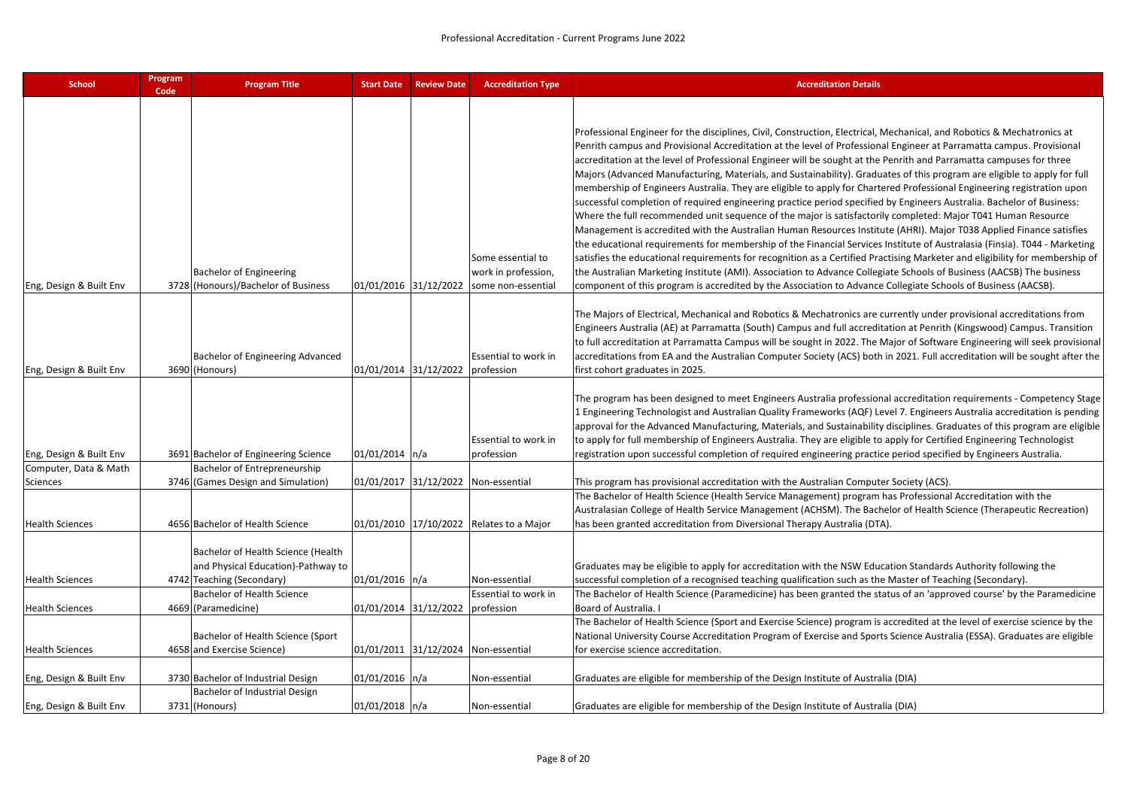| <b>School</b>                                    | Program<br>Code | <b>Program Title</b>                                                                                  | <b>Start Date</b> | <b>Review Date</b>    | <b>Accreditation Type</b>                                      | <b>Accreditation Details</b>                                                                                                                                                                                                                                                                                                                                                                                                                                                                                                                                                                                                                                                                                                                                                                                                                                                                                                                                                                                                                                                                                                                                                                                                                                                                                                                                                                                                                                                                     |
|--------------------------------------------------|-----------------|-------------------------------------------------------------------------------------------------------|-------------------|-----------------------|----------------------------------------------------------------|--------------------------------------------------------------------------------------------------------------------------------------------------------------------------------------------------------------------------------------------------------------------------------------------------------------------------------------------------------------------------------------------------------------------------------------------------------------------------------------------------------------------------------------------------------------------------------------------------------------------------------------------------------------------------------------------------------------------------------------------------------------------------------------------------------------------------------------------------------------------------------------------------------------------------------------------------------------------------------------------------------------------------------------------------------------------------------------------------------------------------------------------------------------------------------------------------------------------------------------------------------------------------------------------------------------------------------------------------------------------------------------------------------------------------------------------------------------------------------------------------|
|                                                  |                 |                                                                                                       |                   |                       |                                                                |                                                                                                                                                                                                                                                                                                                                                                                                                                                                                                                                                                                                                                                                                                                                                                                                                                                                                                                                                                                                                                                                                                                                                                                                                                                                                                                                                                                                                                                                                                  |
| Eng, Design & Built Env                          |                 | <b>Bachelor of Engineering</b><br>3728 (Honours)/Bachelor of Business                                 |                   | 01/01/2016 31/12/2022 | Some essential to<br>work in profession,<br>some non-essential | Professional Engineer for the disciplines, Civil, Construction, Electrical, Mechanical, and Robotics & Mechatronics at<br>Penrith campus and Provisional Accreditation at the level of Professional Engineer at Parramatta campus. Provisional<br>accreditation at the level of Professional Engineer will be sought at the Penrith and Parramatta campuses for three<br>Majors (Advanced Manufacturing, Materials, and Sustainability). Graduates of this program are eligible to apply for full<br>membership of Engineers Australia. They are eligible to apply for Chartered Professional Engineering registration upon<br>successful completion of required engineering practice period specified by Engineers Australia. Bachelor of Business:<br>Where the full recommended unit sequence of the major is satisfactorily completed: Major T041 Human Resource<br>Management is accredited with the Australian Human Resources Institute (AHRI). Major T038 Applied Finance satisfies<br>the educational requirements for membership of the Financial Services Institute of Australasia (Finsia). T044 - Marketing<br>satisfies the educational requirements for recognition as a Certified Practising Marketer and eligibility for membership of<br>the Australian Marketing Institute (AMI). Association to Advance Collegiate Schools of Business (AACSB) The business<br>component of this program is accredited by the Association to Advance Collegiate Schools of Business (AACSB). |
| Eng, Design & Built Env                          |                 | Bachelor of Engineering Advanced<br>3690 (Honours)                                                    |                   | 01/01/2014 31/12/2022 | Essential to work in<br>profession                             | The Majors of Electrical, Mechanical and Robotics & Mechatronics are currently under provisional accreditations from<br>Engineers Australia (AE) at Parramatta (South) Campus and full accreditation at Penrith (Kingswood) Campus. Transition<br>to full accreditation at Parramatta Campus will be sought in 2022. The Major of Software Engineering will seek provisional<br>accreditations from EA and the Australian Computer Society (ACS) both in 2021. Full accreditation will be sought after the<br>first cohort graduates in 2025.                                                                                                                                                                                                                                                                                                                                                                                                                                                                                                                                                                                                                                                                                                                                                                                                                                                                                                                                                    |
|                                                  |                 |                                                                                                       | 01/01/2014 n/a    |                       | Essential to work in<br>profession                             | The program has been designed to meet Engineers Australia professional accreditation requirements - Competency Stage<br>1 Engineering Technologist and Australian Quality Frameworks (AQF) Level 7. Engineers Australia accreditation is pending<br>approval for the Advanced Manufacturing, Materials, and Sustainability disciplines. Graduates of this program are eligible<br>to apply for full membership of Engineers Australia. They are eligible to apply for Certified Engineering Technologist<br>registration upon successful completion of required engineering practice period specified by Engineers Australia.                                                                                                                                                                                                                                                                                                                                                                                                                                                                                                                                                                                                                                                                                                                                                                                                                                                                    |
| Eng, Design & Built Env<br>Computer, Data & Math |                 | 3691 Bachelor of Engineering Science<br>Bachelor of Entrepreneurship                                  |                   |                       |                                                                |                                                                                                                                                                                                                                                                                                                                                                                                                                                                                                                                                                                                                                                                                                                                                                                                                                                                                                                                                                                                                                                                                                                                                                                                                                                                                                                                                                                                                                                                                                  |
| Sciences                                         |                 | 3746 (Games Design and Simulation)                                                                    |                   | 01/01/2017 31/12/2022 | Non-essential                                                  | This program has provisional accreditation with the Australian Computer Society (ACS).                                                                                                                                                                                                                                                                                                                                                                                                                                                                                                                                                                                                                                                                                                                                                                                                                                                                                                                                                                                                                                                                                                                                                                                                                                                                                                                                                                                                           |
| <b>Health Sciences</b>                           |                 | 4656 Bachelor of Health Science                                                                       |                   |                       | 01/01/2010 17/10/2022 Relates to a Major                       | The Bachelor of Health Science (Health Service Management) program has Professional Accreditation with the<br>Australasian College of Health Service Management (ACHSM). The Bachelor of Health Science (Therapeutic Recreation)<br>has been granted accreditation from Diversional Therapy Australia (DTA).                                                                                                                                                                                                                                                                                                                                                                                                                                                                                                                                                                                                                                                                                                                                                                                                                                                                                                                                                                                                                                                                                                                                                                                     |
| <b>Health Sciences</b>                           |                 | Bachelor of Health Science (Health<br>and Physical Education)-Pathway to<br>4742 Teaching (Secondary) | $01/01/2016$  n/a |                       | Non-essential                                                  | Graduates may be eligible to apply for accreditation with the NSW Education Standards Authority following the<br>successful completion of a recognised teaching qualification such as the Master of Teaching (Secondary).                                                                                                                                                                                                                                                                                                                                                                                                                                                                                                                                                                                                                                                                                                                                                                                                                                                                                                                                                                                                                                                                                                                                                                                                                                                                        |
|                                                  |                 | <b>Bachelor of Health Science</b>                                                                     |                   |                       | Essential to work in                                           | The Bachelor of Health Science (Paramedicine) has been granted the status of an 'approved course' by the Paramedicine                                                                                                                                                                                                                                                                                                                                                                                                                                                                                                                                                                                                                                                                                                                                                                                                                                                                                                                                                                                                                                                                                                                                                                                                                                                                                                                                                                            |
| <b>Health Sciences</b>                           |                 | 4669 (Paramedicine)                                                                                   |                   | 01/01/2014 31/12/2022 | profession                                                     | Board of Australia. I                                                                                                                                                                                                                                                                                                                                                                                                                                                                                                                                                                                                                                                                                                                                                                                                                                                                                                                                                                                                                                                                                                                                                                                                                                                                                                                                                                                                                                                                            |
| <b>Health Sciences</b>                           |                 | Bachelor of Health Science (Sport<br>4658 and Exercise Science)                                       |                   |                       | 01/01/2011 31/12/2024 Non-essential                            | The Bachelor of Health Science (Sport and Exercise Science) program is accredited at the level of exercise science by the<br>National University Course Accreditation Program of Exercise and Sports Science Australia (ESSA). Graduates are eligible<br>for exercise science accreditation.                                                                                                                                                                                                                                                                                                                                                                                                                                                                                                                                                                                                                                                                                                                                                                                                                                                                                                                                                                                                                                                                                                                                                                                                     |
|                                                  |                 |                                                                                                       |                   |                       |                                                                |                                                                                                                                                                                                                                                                                                                                                                                                                                                                                                                                                                                                                                                                                                                                                                                                                                                                                                                                                                                                                                                                                                                                                                                                                                                                                                                                                                                                                                                                                                  |
| Eng, Design & Built Env                          |                 | 3730 Bachelor of Industrial Design<br>Bachelor of Industrial Design                                   | 01/01/2016 n/a    |                       | Non-essential                                                  | Graduates are eligible for membership of the Design Institute of Australia (DIA)                                                                                                                                                                                                                                                                                                                                                                                                                                                                                                                                                                                                                                                                                                                                                                                                                                                                                                                                                                                                                                                                                                                                                                                                                                                                                                                                                                                                                 |
| Eng, Design & Built Env                          |                 | 3731 (Honours)                                                                                        | $01/01/2018$ n/a  |                       | Non-essential                                                  | Graduates are eligible for membership of the Design Institute of Australia (DIA)                                                                                                                                                                                                                                                                                                                                                                                                                                                                                                                                                                                                                                                                                                                                                                                                                                                                                                                                                                                                                                                                                                                                                                                                                                                                                                                                                                                                                 |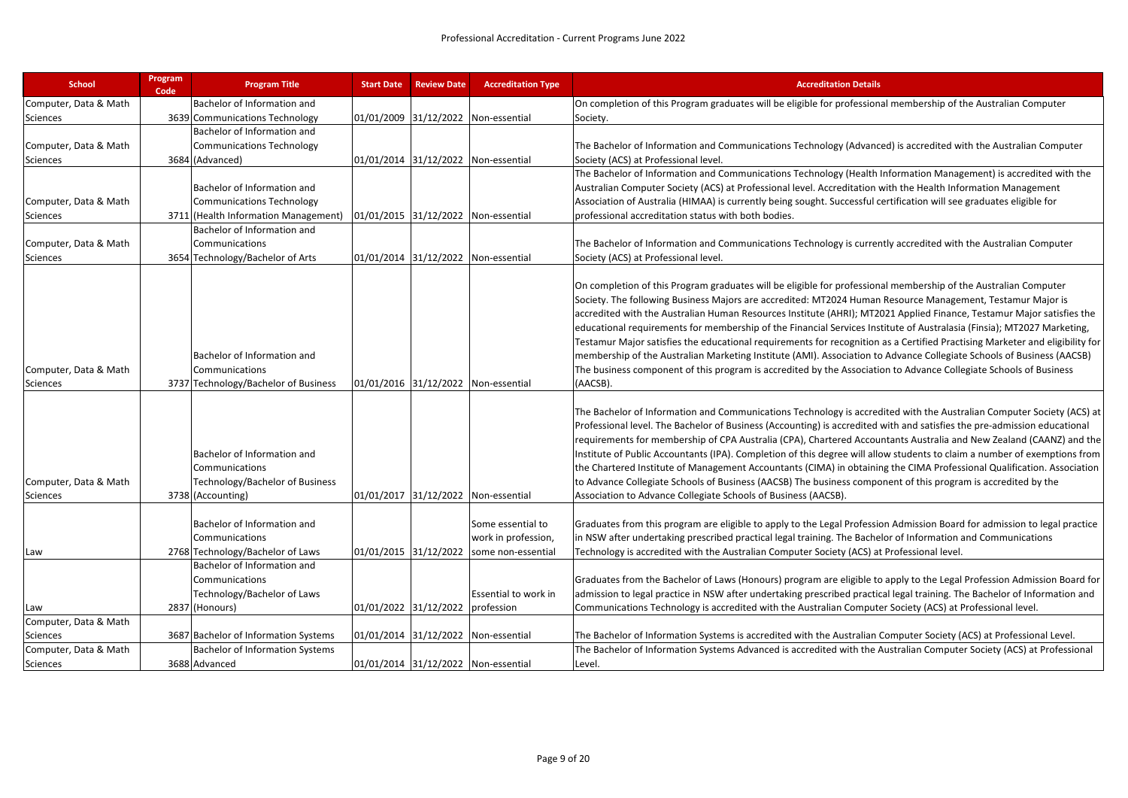| <b>School</b>                     | Program<br><b>Program Title</b><br>Code                                                               | <b>Start Date</b>     | <b>Review Date</b> | <b>Accreditation Type</b>                                      | <b>Accreditation Details</b>                                                                                                                                                                                                                                                                                                                                                                                                                                                                                                                                                                                                                                                                                                                                                                                                                                               |
|-----------------------------------|-------------------------------------------------------------------------------------------------------|-----------------------|--------------------|----------------------------------------------------------------|----------------------------------------------------------------------------------------------------------------------------------------------------------------------------------------------------------------------------------------------------------------------------------------------------------------------------------------------------------------------------------------------------------------------------------------------------------------------------------------------------------------------------------------------------------------------------------------------------------------------------------------------------------------------------------------------------------------------------------------------------------------------------------------------------------------------------------------------------------------------------|
| Computer, Data & Math             | Bachelor of Information and                                                                           |                       |                    |                                                                | On completion of this Program graduates will be eligible for professional membership of the Australian Computer                                                                                                                                                                                                                                                                                                                                                                                                                                                                                                                                                                                                                                                                                                                                                            |
| Sciences                          | 3639 Communications Technology                                                                        |                       |                    | 01/01/2009 31/12/2022 Non-essential                            | Society.                                                                                                                                                                                                                                                                                                                                                                                                                                                                                                                                                                                                                                                                                                                                                                                                                                                                   |
|                                   | Bachelor of Information and                                                                           |                       |                    |                                                                |                                                                                                                                                                                                                                                                                                                                                                                                                                                                                                                                                                                                                                                                                                                                                                                                                                                                            |
| Computer, Data & Math             | <b>Communications Technology</b>                                                                      |                       |                    |                                                                | The Bachelor of Information and Communications Technology (Advanced) is accredited with the Australian Computer                                                                                                                                                                                                                                                                                                                                                                                                                                                                                                                                                                                                                                                                                                                                                            |
| Sciences                          | 3684 (Advanced)                                                                                       |                       |                    | 01/01/2014 31/12/2022 Non-essential                            | Society (ACS) at Professional level.                                                                                                                                                                                                                                                                                                                                                                                                                                                                                                                                                                                                                                                                                                                                                                                                                                       |
|                                   |                                                                                                       |                       |                    |                                                                | The Bachelor of Information and Communications Technology (Health Information Management) is accredited with the                                                                                                                                                                                                                                                                                                                                                                                                                                                                                                                                                                                                                                                                                                                                                           |
|                                   | Bachelor of Information and                                                                           |                       |                    |                                                                | Australian Computer Society (ACS) at Professional level. Accreditation with the Health Information Management                                                                                                                                                                                                                                                                                                                                                                                                                                                                                                                                                                                                                                                                                                                                                              |
| Computer, Data & Math             | <b>Communications Technology</b>                                                                      |                       |                    |                                                                | Association of Australia (HIMAA) is currently being sought. Successful certification will see graduates eligible for                                                                                                                                                                                                                                                                                                                                                                                                                                                                                                                                                                                                                                                                                                                                                       |
| Sciences                          | 3711 (Health Information Management)                                                                  |                       |                    | 01/01/2015 31/12/2022 Non-essential                            | professional accreditation status with both bodies.                                                                                                                                                                                                                                                                                                                                                                                                                                                                                                                                                                                                                                                                                                                                                                                                                        |
|                                   | Bachelor of Information and                                                                           |                       |                    |                                                                |                                                                                                                                                                                                                                                                                                                                                                                                                                                                                                                                                                                                                                                                                                                                                                                                                                                                            |
| Computer, Data & Math             | Communications                                                                                        |                       |                    |                                                                | The Bachelor of Information and Communications Technology is currently accredited with the Australian Computer                                                                                                                                                                                                                                                                                                                                                                                                                                                                                                                                                                                                                                                                                                                                                             |
| Sciences                          | 3654 Technology/Bachelor of Arts                                                                      |                       |                    | 01/01/2014 31/12/2022 Non-essential                            | Society (ACS) at Professional level.                                                                                                                                                                                                                                                                                                                                                                                                                                                                                                                                                                                                                                                                                                                                                                                                                                       |
| Computer, Data & Math<br>Sciences | Bachelor of Information and<br>Communications<br>3737 Technology/Bachelor of Business                 |                       |                    | 01/01/2016 31/12/2022 Non-essential                            | On completion of this Program graduates will be eligible for professional membership of the Australian Computer<br>Society. The following Business Majors are accredited: MT2024 Human Resource Management, Testamur Major is<br>accredited with the Australian Human Resources Institute (AHRI); MT2021 Applied Finance, Testamur Major satisfies the<br>educational requirements for membership of the Financial Services Institute of Australasia (Finsia); MT2027 Marketing,<br>Testamur Major satisfies the educational requirements for recognition as a Certified Practising Marketer and eligibility for<br>membership of the Australian Marketing Institute (AMI). Association to Advance Collegiate Schools of Business (AACSB)<br>The business component of this program is accredited by the Association to Advance Collegiate Schools of Business<br>(AACSB). |
| Computer, Data & Math<br>Sciences | Bachelor of Information and<br>Communications<br>Technology/Bachelor of Business<br>3738 (Accounting) | 01/01/2017 31/12/2022 |                    | Non-essential                                                  | The Bachelor of Information and Communications Technology is accredited with the Australian Computer Society (ACS) at<br>Professional level. The Bachelor of Business (Accounting) is accredited with and satisfies the pre-admission educational<br>requirements for membership of CPA Australia (CPA), Chartered Accountants Australia and New Zealand (CAANZ) and the<br>Institute of Public Accountants (IPA). Completion of this degree will allow students to claim a number of exemptions from<br>the Chartered Institute of Management Accountants (CIMA) in obtaining the CIMA Professional Qualification. Association<br>to Advance Collegiate Schools of Business (AACSB) The business component of this program is accredited by the<br>Association to Advance Collegiate Schools of Business (AACSB).                                                         |
| Law                               | Bachelor of Information and<br>Communications<br>2768 Technology/Bachelor of Laws                     | 01/01/2015 31/12/2022 |                    | Some essential to<br>work in profession,<br>some non-essential | Graduates from this program are eligible to apply to the Legal Profession Admission Board for admission to legal practice<br>in NSW after undertaking prescribed practical legal training. The Bachelor of Information and Communications<br>Technology is accredited with the Australian Computer Society (ACS) at Professional level.                                                                                                                                                                                                                                                                                                                                                                                                                                                                                                                                    |
| Law                               | Bachelor of Information and<br>Communications<br>Technology/Bachelor of Laws<br>2837 (Honours)        | 01/01/2022 31/12/2022 |                    | Essential to work in<br>profession                             | Graduates from the Bachelor of Laws (Honours) program are eligible to apply to the Legal Profession Admission Board for<br>admission to legal practice in NSW after undertaking prescribed practical legal training. The Bachelor of Information and<br>Communications Technology is accredited with the Australian Computer Society (ACS) at Professional level.                                                                                                                                                                                                                                                                                                                                                                                                                                                                                                          |
| Computer, Data & Math             |                                                                                                       |                       |                    |                                                                |                                                                                                                                                                                                                                                                                                                                                                                                                                                                                                                                                                                                                                                                                                                                                                                                                                                                            |
| Sciences                          | 3687 Bachelor of Information Systems                                                                  |                       |                    | 01/01/2014 31/12/2022 Non-essential                            | The Bachelor of Information Systems is accredited with the Australian Computer Society (ACS) at Professional Level.                                                                                                                                                                                                                                                                                                                                                                                                                                                                                                                                                                                                                                                                                                                                                        |
| Computer, Data & Math             | <b>Bachelor of Information Systems</b>                                                                |                       |                    |                                                                | The Bachelor of Information Systems Advanced is accredited with the Australian Computer Society (ACS) at Professional                                                                                                                                                                                                                                                                                                                                                                                                                                                                                                                                                                                                                                                                                                                                                      |
| Sciences                          | 3688 Advanced                                                                                         |                       |                    | 01/01/2014 31/12/2022 Non-essential                            | Level.                                                                                                                                                                                                                                                                                                                                                                                                                                                                                                                                                                                                                                                                                                                                                                                                                                                                     |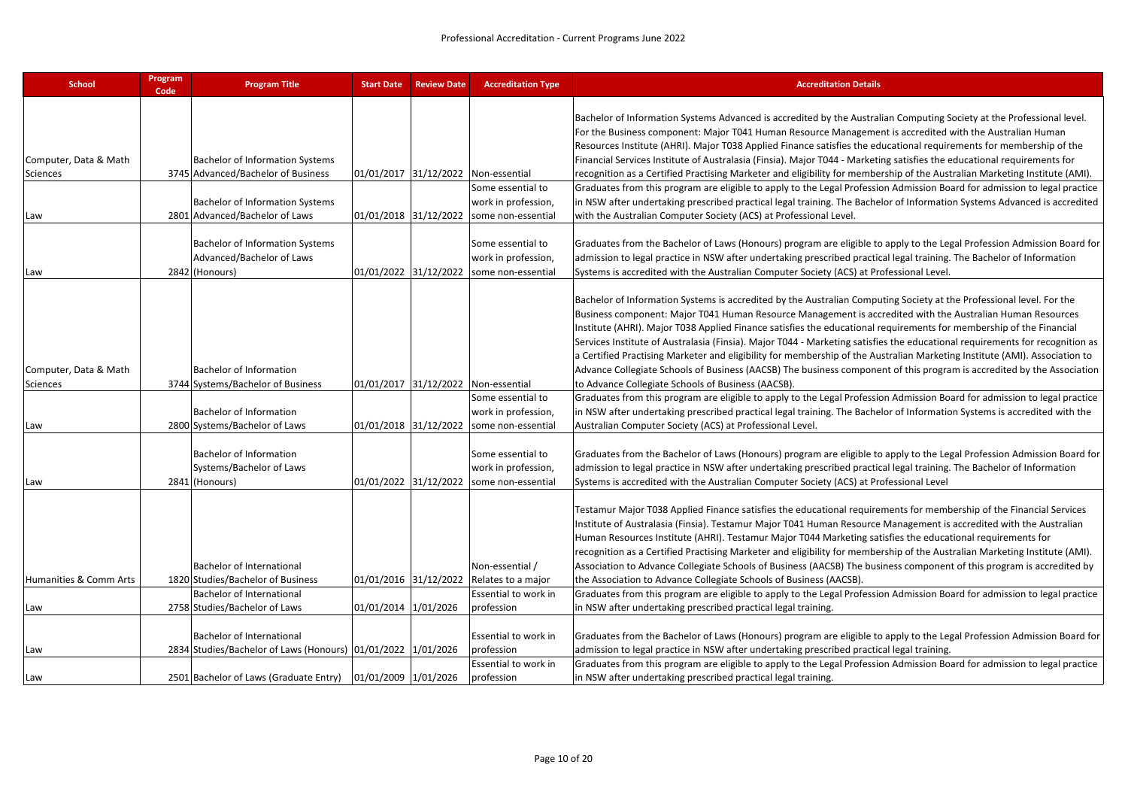| <b>School</b>                     | Program<br>Code | <b>Program Title</b>                                                                             | <b>Start Date</b>     | <b>Review Date</b>    | <b>Accreditation Type</b>                                                            | <b>Accreditation Details</b>                                                                                                                                                                                                                                                                                                                                                                                                                                                                                                                                                                                                                                                                                                                      |
|-----------------------------------|-----------------|--------------------------------------------------------------------------------------------------|-----------------------|-----------------------|--------------------------------------------------------------------------------------|---------------------------------------------------------------------------------------------------------------------------------------------------------------------------------------------------------------------------------------------------------------------------------------------------------------------------------------------------------------------------------------------------------------------------------------------------------------------------------------------------------------------------------------------------------------------------------------------------------------------------------------------------------------------------------------------------------------------------------------------------|
| Computer, Data & Math             |                 | <b>Bachelor of Information Systems</b>                                                           |                       |                       |                                                                                      | Bachelor of Information Systems Advanced is accredited by the Australian Computing Society at the Professional level.<br>For the Business component: Major T041 Human Resource Management is accredited with the Australian Human<br>Resources Institute (AHRI). Major T038 Applied Finance satisfies the educational requirements for membership of the<br>Financial Services Institute of Australasia (Finsia). Major T044 - Marketing satisfies the educational requirements for                                                                                                                                                                                                                                                               |
| Sciences                          |                 | 3745 Advanced/Bachelor of Business                                                               |                       |                       | 01/01/2017 31/12/2022 Non-essential                                                  | recognition as a Certified Practising Marketer and eligibility for membership of the Australian Marketing Institute (AMI).                                                                                                                                                                                                                                                                                                                                                                                                                                                                                                                                                                                                                        |
| Law                               |                 | Bachelor of Information Systems<br>2801 Advanced/Bachelor of Laws                                | 01/01/2018 31/12/2022 |                       | Some essential to<br>work in profession,<br>some non-essential                       | Graduates from this program are eligible to apply to the Legal Profession Admission Board for admission to legal practice<br>in NSW after undertaking prescribed practical legal training. The Bachelor of Information Systems Advanced is accredited<br>with the Australian Computer Society (ACS) at Professional Level.                                                                                                                                                                                                                                                                                                                                                                                                                        |
| Law                               |                 | Bachelor of Information Systems<br>Advanced/Bachelor of Laws<br>2842 (Honours)                   |                       | 01/01/2022 31/12/2022 | Some essential to<br>work in profession,<br>some non-essential                       | Graduates from the Bachelor of Laws (Honours) program are eligible to apply to the Legal Profession Admission Board for<br>admission to legal practice in NSW after undertaking prescribed practical legal training. The Bachelor of Information<br>Systems is accredited with the Australian Computer Society (ACS) at Professional Level.                                                                                                                                                                                                                                                                                                                                                                                                       |
| Computer, Data & Math             |                 | <b>Bachelor of Information</b>                                                                   |                       |                       |                                                                                      | Bachelor of Information Systems is accredited by the Australian Computing Society at the Professional level. For the<br>Business component: Major T041 Human Resource Management is accredited with the Australian Human Resources<br>Institute (AHRI). Major T038 Applied Finance satisfies the educational requirements for membership of the Financial<br>Services Institute of Australasia (Finsia). Major T044 - Marketing satisfies the educational requirements for recognition as<br>a Certified Practising Marketer and eligibility for membership of the Australian Marketing Institute (AMI). Association to<br>Advance Collegiate Schools of Business (AACSB) The business component of this program is accredited by the Association |
| Sciences                          |                 | 3744 Systems/Bachelor of Business                                                                |                       |                       | 01/01/2017 31/12/2022 Non-essential                                                  | to Advance Collegiate Schools of Business (AACSB).                                                                                                                                                                                                                                                                                                                                                                                                                                                                                                                                                                                                                                                                                                |
| Law                               |                 | <b>Bachelor of Information</b><br>2800 Systems/Bachelor of Laws                                  |                       |                       | Some essential to<br>work in profession,<br>01/01/2018 31/12/2022 some non-essential | Graduates from this program are eligible to apply to the Legal Profession Admission Board for admission to legal practice<br>in NSW after undertaking prescribed practical legal training. The Bachelor of Information Systems is accredited with the<br>Australian Computer Society (ACS) at Professional Level.                                                                                                                                                                                                                                                                                                                                                                                                                                 |
| Law                               |                 | <b>Bachelor of Information</b><br>Systems/Bachelor of Laws<br>2841 (Honours)                     | 01/01/2022 31/12/2022 |                       | Some essential to<br>work in profession,<br>some non-essential                       | Graduates from the Bachelor of Laws (Honours) program are eligible to apply to the Legal Profession Admission Board for<br>admission to legal practice in NSW after undertaking prescribed practical legal training. The Bachelor of Information<br>Systems is accredited with the Australian Computer Society (ACS) at Professional Level                                                                                                                                                                                                                                                                                                                                                                                                        |
| <b>Humanities &amp; Comm Arts</b> |                 | <b>Bachelor of International</b><br>1820 Studies/Bachelor of Business                            | 01/01/2016 31/12/2022 |                       | Non-essential /<br>Relates to a major                                                | Testamur Major T038 Applied Finance satisfies the educational requirements for membership of the Financial Services<br>Institute of Australasia (Finsia). Testamur Major T041 Human Resource Management is accredited with the Australian<br>Human Resources Institute (AHRI). Testamur Major T044 Marketing satisfies the educational requirements for<br>recognition as a Certified Practising Marketer and eligibility for membership of the Australian Marketing Institute (AMI).<br>Association to Advance Collegiate Schools of Business (AACSB) The business component of this program is accredited by<br>the Association to Advance Collegiate Schools of Business (AACSB).                                                              |
|                                   |                 | <b>Bachelor of International</b>                                                                 |                       |                       | Essential to work in                                                                 | Graduates from this program are eligible to apply to the Legal Profession Admission Board for admission to legal practice                                                                                                                                                                                                                                                                                                                                                                                                                                                                                                                                                                                                                         |
| Law                               |                 | 2758 Studies/Bachelor of Laws                                                                    | 01/01/2014 1/01/2026  |                       | profession                                                                           | in NSW after undertaking prescribed practical legal training.                                                                                                                                                                                                                                                                                                                                                                                                                                                                                                                                                                                                                                                                                     |
| Law                               |                 | <b>Bachelor of International</b><br>2834 Studies/Bachelor of Laws (Honours) 01/01/2022 1/01/2026 |                       |                       | Essential to work in<br>profession                                                   | Graduates from the Bachelor of Laws (Honours) program are eligible to apply to the Legal Profession Admission Board for<br>admission to legal practice in NSW after undertaking prescribed practical legal training.                                                                                                                                                                                                                                                                                                                                                                                                                                                                                                                              |
|                                   |                 |                                                                                                  |                       |                       | Essential to work in                                                                 | Graduates from this program are eligible to apply to the Legal Profession Admission Board for admission to legal practice                                                                                                                                                                                                                                                                                                                                                                                                                                                                                                                                                                                                                         |
| Law                               |                 | 2501 Bachelor of Laws (Graduate Entry)   01/01/2009   1/01/2026                                  |                       |                       | profession                                                                           | in NSW after undertaking prescribed practical legal training.                                                                                                                                                                                                                                                                                                                                                                                                                                                                                                                                                                                                                                                                                     |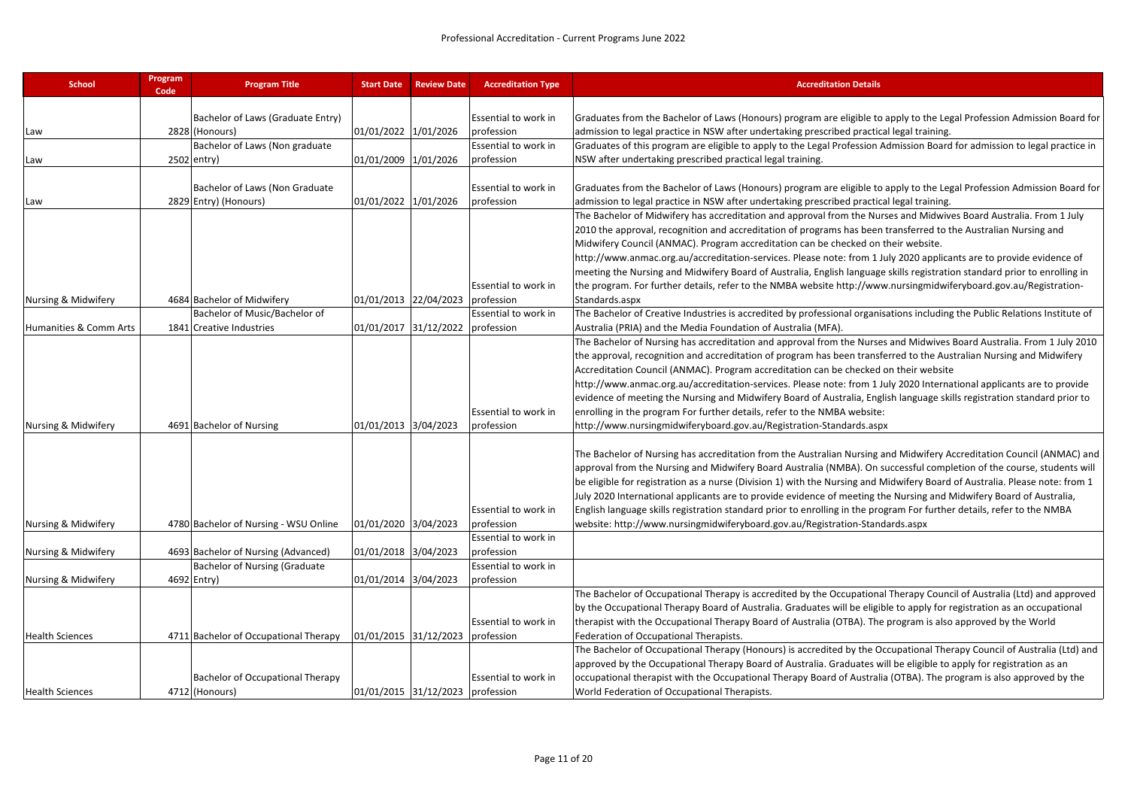| Bachelor of Laws (Graduate Entry)<br>Essential to work in<br>Graduates from the Bachelor of Laws (Honours) program are eligible to apply to the Legal Profession Admission Board for<br>01/01/2022 1/01/2026<br>profession<br>admission to legal practice in NSW after undertaking prescribed practical legal training.<br>2828 (Honours)<br>Law<br>Bachelor of Laws (Non graduate<br>Essential to work in<br>2502 entry)<br>01/01/2009 1/01/2026<br>profession<br>NSW after undertaking prescribed practical legal training.<br>Law<br>Bachelor of Laws (Non Graduate<br>Essential to work in<br>Graduates from the Bachelor of Laws (Honours) program are eligible to apply to the Legal Profession Admission Board for<br>01/01/2022 1/01/2026<br>2829 Entry) (Honours)<br>profession<br>admission to legal practice in NSW after undertaking prescribed practical legal training.<br>Law<br>The Bachelor of Midwifery has accreditation and approval from the Nurses and Midwives Board Australia. From 1 July<br>2010 the approval, recognition and accreditation of programs has been transferred to the Australian Nursing and<br>Midwifery Council (ANMAC). Program accreditation can be checked on their website.<br>http://www.anmac.org.au/accreditation-services. Please note: from 1 July 2020 applicants are to provide evidence of<br>meeting the Nursing and Midwifery Board of Australia, English language skills registration standard prior to enrolling in<br>Essential to work in<br>the program. For further details, refer to the NMBA website http://www.nursingmidwiferyboard.gov.au/Registration-<br>01/01/2013 22/04/2023<br>profession<br><b>Nursing &amp; Midwifery</b><br>4684 Bachelor of Midwifery<br>Standards.aspx<br>Bachelor of Music/Bachelor of<br>Essential to work in<br>The Bachelor of Creative Industries is accredited by professional organisations including the Public Relations Institute of<br>01/01/2017 31/12/2022<br>profession<br>Humanities & Comm Arts<br>1841 Creative Industries<br>Australia (PRIA) and the Media Foundation of Australia (MFA). | <b>School</b> | Program<br><b>Program Title</b><br>Code | <b>Start Date</b> | <b>Review Date</b> | <b>Accreditation Type</b> | <b>Accreditation Details</b>                                                                                               |
|------------------------------------------------------------------------------------------------------------------------------------------------------------------------------------------------------------------------------------------------------------------------------------------------------------------------------------------------------------------------------------------------------------------------------------------------------------------------------------------------------------------------------------------------------------------------------------------------------------------------------------------------------------------------------------------------------------------------------------------------------------------------------------------------------------------------------------------------------------------------------------------------------------------------------------------------------------------------------------------------------------------------------------------------------------------------------------------------------------------------------------------------------------------------------------------------------------------------------------------------------------------------------------------------------------------------------------------------------------------------------------------------------------------------------------------------------------------------------------------------------------------------------------------------------------------------------------------------------------------------------------------------------------------------------------------------------------------------------------------------------------------------------------------------------------------------------------------------------------------------------------------------------------------------------------------------------------------------------------------------------------------------------------------------------------------------------------------------------------|---------------|-----------------------------------------|-------------------|--------------------|---------------------------|----------------------------------------------------------------------------------------------------------------------------|
|                                                                                                                                                                                                                                                                                                                                                                                                                                                                                                                                                                                                                                                                                                                                                                                                                                                                                                                                                                                                                                                                                                                                                                                                                                                                                                                                                                                                                                                                                                                                                                                                                                                                                                                                                                                                                                                                                                                                                                                                                                                                                                            |               |                                         |                   |                    |                           |                                                                                                                            |
|                                                                                                                                                                                                                                                                                                                                                                                                                                                                                                                                                                                                                                                                                                                                                                                                                                                                                                                                                                                                                                                                                                                                                                                                                                                                                                                                                                                                                                                                                                                                                                                                                                                                                                                                                                                                                                                                                                                                                                                                                                                                                                            |               |                                         |                   |                    |                           |                                                                                                                            |
|                                                                                                                                                                                                                                                                                                                                                                                                                                                                                                                                                                                                                                                                                                                                                                                                                                                                                                                                                                                                                                                                                                                                                                                                                                                                                                                                                                                                                                                                                                                                                                                                                                                                                                                                                                                                                                                                                                                                                                                                                                                                                                            |               |                                         |                   |                    |                           | Graduates of this program are eligible to apply to the Legal Profession Admission Board for admission to legal practice in |
|                                                                                                                                                                                                                                                                                                                                                                                                                                                                                                                                                                                                                                                                                                                                                                                                                                                                                                                                                                                                                                                                                                                                                                                                                                                                                                                                                                                                                                                                                                                                                                                                                                                                                                                                                                                                                                                                                                                                                                                                                                                                                                            |               |                                         |                   |                    |                           |                                                                                                                            |
|                                                                                                                                                                                                                                                                                                                                                                                                                                                                                                                                                                                                                                                                                                                                                                                                                                                                                                                                                                                                                                                                                                                                                                                                                                                                                                                                                                                                                                                                                                                                                                                                                                                                                                                                                                                                                                                                                                                                                                                                                                                                                                            |               |                                         |                   |                    |                           |                                                                                                                            |
|                                                                                                                                                                                                                                                                                                                                                                                                                                                                                                                                                                                                                                                                                                                                                                                                                                                                                                                                                                                                                                                                                                                                                                                                                                                                                                                                                                                                                                                                                                                                                                                                                                                                                                                                                                                                                                                                                                                                                                                                                                                                                                            |               |                                         |                   |                    |                           |                                                                                                                            |
|                                                                                                                                                                                                                                                                                                                                                                                                                                                                                                                                                                                                                                                                                                                                                                                                                                                                                                                                                                                                                                                                                                                                                                                                                                                                                                                                                                                                                                                                                                                                                                                                                                                                                                                                                                                                                                                                                                                                                                                                                                                                                                            |               |                                         |                   |                    |                           |                                                                                                                            |
|                                                                                                                                                                                                                                                                                                                                                                                                                                                                                                                                                                                                                                                                                                                                                                                                                                                                                                                                                                                                                                                                                                                                                                                                                                                                                                                                                                                                                                                                                                                                                                                                                                                                                                                                                                                                                                                                                                                                                                                                                                                                                                            |               |                                         |                   |                    |                           |                                                                                                                            |
|                                                                                                                                                                                                                                                                                                                                                                                                                                                                                                                                                                                                                                                                                                                                                                                                                                                                                                                                                                                                                                                                                                                                                                                                                                                                                                                                                                                                                                                                                                                                                                                                                                                                                                                                                                                                                                                                                                                                                                                                                                                                                                            |               |                                         |                   |                    |                           |                                                                                                                            |
|                                                                                                                                                                                                                                                                                                                                                                                                                                                                                                                                                                                                                                                                                                                                                                                                                                                                                                                                                                                                                                                                                                                                                                                                                                                                                                                                                                                                                                                                                                                                                                                                                                                                                                                                                                                                                                                                                                                                                                                                                                                                                                            |               |                                         |                   |                    |                           |                                                                                                                            |
|                                                                                                                                                                                                                                                                                                                                                                                                                                                                                                                                                                                                                                                                                                                                                                                                                                                                                                                                                                                                                                                                                                                                                                                                                                                                                                                                                                                                                                                                                                                                                                                                                                                                                                                                                                                                                                                                                                                                                                                                                                                                                                            |               |                                         |                   |                    |                           |                                                                                                                            |
|                                                                                                                                                                                                                                                                                                                                                                                                                                                                                                                                                                                                                                                                                                                                                                                                                                                                                                                                                                                                                                                                                                                                                                                                                                                                                                                                                                                                                                                                                                                                                                                                                                                                                                                                                                                                                                                                                                                                                                                                                                                                                                            |               |                                         |                   |                    |                           |                                                                                                                            |
|                                                                                                                                                                                                                                                                                                                                                                                                                                                                                                                                                                                                                                                                                                                                                                                                                                                                                                                                                                                                                                                                                                                                                                                                                                                                                                                                                                                                                                                                                                                                                                                                                                                                                                                                                                                                                                                                                                                                                                                                                                                                                                            |               |                                         |                   |                    |                           |                                                                                                                            |
|                                                                                                                                                                                                                                                                                                                                                                                                                                                                                                                                                                                                                                                                                                                                                                                                                                                                                                                                                                                                                                                                                                                                                                                                                                                                                                                                                                                                                                                                                                                                                                                                                                                                                                                                                                                                                                                                                                                                                                                                                                                                                                            |               |                                         |                   |                    |                           |                                                                                                                            |
|                                                                                                                                                                                                                                                                                                                                                                                                                                                                                                                                                                                                                                                                                                                                                                                                                                                                                                                                                                                                                                                                                                                                                                                                                                                                                                                                                                                                                                                                                                                                                                                                                                                                                                                                                                                                                                                                                                                                                                                                                                                                                                            |               |                                         |                   |                    |                           |                                                                                                                            |
|                                                                                                                                                                                                                                                                                                                                                                                                                                                                                                                                                                                                                                                                                                                                                                                                                                                                                                                                                                                                                                                                                                                                                                                                                                                                                                                                                                                                                                                                                                                                                                                                                                                                                                                                                                                                                                                                                                                                                                                                                                                                                                            |               |                                         |                   |                    |                           | The Bachelor of Nursing has accreditation and approval from the Nurses and Midwives Board Australia. From 1 July 2010      |
| the approval, recognition and accreditation of program has been transferred to the Australian Nursing and Midwifery                                                                                                                                                                                                                                                                                                                                                                                                                                                                                                                                                                                                                                                                                                                                                                                                                                                                                                                                                                                                                                                                                                                                                                                                                                                                                                                                                                                                                                                                                                                                                                                                                                                                                                                                                                                                                                                                                                                                                                                        |               |                                         |                   |                    |                           |                                                                                                                            |
| Accreditation Council (ANMAC). Program accreditation can be checked on their website<br>http://www.anmac.org.au/accreditation-services. Please note: from 1 July 2020 International applicants are to provide                                                                                                                                                                                                                                                                                                                                                                                                                                                                                                                                                                                                                                                                                                                                                                                                                                                                                                                                                                                                                                                                                                                                                                                                                                                                                                                                                                                                                                                                                                                                                                                                                                                                                                                                                                                                                                                                                              |               |                                         |                   |                    |                           |                                                                                                                            |
| evidence of meeting the Nursing and Midwifery Board of Australia, English language skills registration standard prior to                                                                                                                                                                                                                                                                                                                                                                                                                                                                                                                                                                                                                                                                                                                                                                                                                                                                                                                                                                                                                                                                                                                                                                                                                                                                                                                                                                                                                                                                                                                                                                                                                                                                                                                                                                                                                                                                                                                                                                                   |               |                                         |                   |                    |                           |                                                                                                                            |
| Essential to work in<br>enrolling in the program For further details, refer to the NMBA website:                                                                                                                                                                                                                                                                                                                                                                                                                                                                                                                                                                                                                                                                                                                                                                                                                                                                                                                                                                                                                                                                                                                                                                                                                                                                                                                                                                                                                                                                                                                                                                                                                                                                                                                                                                                                                                                                                                                                                                                                           |               |                                         |                   |                    |                           |                                                                                                                            |
| Nursing & Midwifery<br>4691 Bachelor of Nursing<br>01/01/2013 3/04/2023<br>profession<br>http://www.nursingmidwiferyboard.gov.au/Registration-Standards.aspx                                                                                                                                                                                                                                                                                                                                                                                                                                                                                                                                                                                                                                                                                                                                                                                                                                                                                                                                                                                                                                                                                                                                                                                                                                                                                                                                                                                                                                                                                                                                                                                                                                                                                                                                                                                                                                                                                                                                               |               |                                         |                   |                    |                           |                                                                                                                            |
|                                                                                                                                                                                                                                                                                                                                                                                                                                                                                                                                                                                                                                                                                                                                                                                                                                                                                                                                                                                                                                                                                                                                                                                                                                                                                                                                                                                                                                                                                                                                                                                                                                                                                                                                                                                                                                                                                                                                                                                                                                                                                                            |               |                                         |                   |                    |                           |                                                                                                                            |
|                                                                                                                                                                                                                                                                                                                                                                                                                                                                                                                                                                                                                                                                                                                                                                                                                                                                                                                                                                                                                                                                                                                                                                                                                                                                                                                                                                                                                                                                                                                                                                                                                                                                                                                                                                                                                                                                                                                                                                                                                                                                                                            |               |                                         |                   |                    |                           | The Bachelor of Nursing has accreditation from the Australian Nursing and Midwifery Accreditation Council (ANMAC) and      |
|                                                                                                                                                                                                                                                                                                                                                                                                                                                                                                                                                                                                                                                                                                                                                                                                                                                                                                                                                                                                                                                                                                                                                                                                                                                                                                                                                                                                                                                                                                                                                                                                                                                                                                                                                                                                                                                                                                                                                                                                                                                                                                            |               |                                         |                   |                    |                           | approval from the Nursing and Midwifery Board Australia (NMBA). On successful completion of the course, students will      |
| be eligible for registration as a nurse (Division 1) with the Nursing and Midwifery Board of Australia. Please note: from 1                                                                                                                                                                                                                                                                                                                                                                                                                                                                                                                                                                                                                                                                                                                                                                                                                                                                                                                                                                                                                                                                                                                                                                                                                                                                                                                                                                                                                                                                                                                                                                                                                                                                                                                                                                                                                                                                                                                                                                                |               |                                         |                   |                    |                           |                                                                                                                            |
| July 2020 International applicants are to provide evidence of meeting the Nursing and Midwifery Board of Australia,                                                                                                                                                                                                                                                                                                                                                                                                                                                                                                                                                                                                                                                                                                                                                                                                                                                                                                                                                                                                                                                                                                                                                                                                                                                                                                                                                                                                                                                                                                                                                                                                                                                                                                                                                                                                                                                                                                                                                                                        |               |                                         |                   |                    |                           |                                                                                                                            |
| Essential to work in<br>English language skills registration standard prior to enrolling in the program For further details, refer to the NMBA<br>01/01/2020 3/04/2023<br><b>Nursing &amp; Midwifery</b><br>profession                                                                                                                                                                                                                                                                                                                                                                                                                                                                                                                                                                                                                                                                                                                                                                                                                                                                                                                                                                                                                                                                                                                                                                                                                                                                                                                                                                                                                                                                                                                                                                                                                                                                                                                                                                                                                                                                                     |               |                                         |                   |                    |                           |                                                                                                                            |
| 4780 Bachelor of Nursing - WSU Online<br>website: http://www.nursingmidwiferyboard.gov.au/Registration-Standards.aspx<br>Essential to work in                                                                                                                                                                                                                                                                                                                                                                                                                                                                                                                                                                                                                                                                                                                                                                                                                                                                                                                                                                                                                                                                                                                                                                                                                                                                                                                                                                                                                                                                                                                                                                                                                                                                                                                                                                                                                                                                                                                                                              |               |                                         |                   |                    |                           |                                                                                                                            |
| 01/01/2018 3/04/2023<br>Nursing & Midwifery<br>4693 Bachelor of Nursing (Advanced)<br>profession                                                                                                                                                                                                                                                                                                                                                                                                                                                                                                                                                                                                                                                                                                                                                                                                                                                                                                                                                                                                                                                                                                                                                                                                                                                                                                                                                                                                                                                                                                                                                                                                                                                                                                                                                                                                                                                                                                                                                                                                           |               |                                         |                   |                    |                           |                                                                                                                            |
| <b>Bachelor of Nursing (Graduate</b><br>Essential to work in                                                                                                                                                                                                                                                                                                                                                                                                                                                                                                                                                                                                                                                                                                                                                                                                                                                                                                                                                                                                                                                                                                                                                                                                                                                                                                                                                                                                                                                                                                                                                                                                                                                                                                                                                                                                                                                                                                                                                                                                                                               |               |                                         |                   |                    |                           |                                                                                                                            |
| 4692 Entry)<br>01/01/2014 3/04/2023<br>profession<br>Nursing & Midwifery                                                                                                                                                                                                                                                                                                                                                                                                                                                                                                                                                                                                                                                                                                                                                                                                                                                                                                                                                                                                                                                                                                                                                                                                                                                                                                                                                                                                                                                                                                                                                                                                                                                                                                                                                                                                                                                                                                                                                                                                                                   |               |                                         |                   |                    |                           |                                                                                                                            |
|                                                                                                                                                                                                                                                                                                                                                                                                                                                                                                                                                                                                                                                                                                                                                                                                                                                                                                                                                                                                                                                                                                                                                                                                                                                                                                                                                                                                                                                                                                                                                                                                                                                                                                                                                                                                                                                                                                                                                                                                                                                                                                            |               |                                         |                   |                    |                           | The Bachelor of Occupational Therapy is accredited by the Occupational Therapy Council of Australia (Ltd) and approved     |
| by the Occupational Therapy Board of Australia. Graduates will be eligible to apply for registration as an occupational                                                                                                                                                                                                                                                                                                                                                                                                                                                                                                                                                                                                                                                                                                                                                                                                                                                                                                                                                                                                                                                                                                                                                                                                                                                                                                                                                                                                                                                                                                                                                                                                                                                                                                                                                                                                                                                                                                                                                                                    |               |                                         |                   |                    |                           |                                                                                                                            |
| Essential to work in<br>therapist with the Occupational Therapy Board of Australia (OTBA). The program is also approved by the World                                                                                                                                                                                                                                                                                                                                                                                                                                                                                                                                                                                                                                                                                                                                                                                                                                                                                                                                                                                                                                                                                                                                                                                                                                                                                                                                                                                                                                                                                                                                                                                                                                                                                                                                                                                                                                                                                                                                                                       |               |                                         |                   |                    |                           |                                                                                                                            |
| 01/01/2015 31/12/2023<br><b>Health Sciences</b><br>4711 Bachelor of Occupational Therapy<br>profession<br>Federation of Occupational Therapists.                                                                                                                                                                                                                                                                                                                                                                                                                                                                                                                                                                                                                                                                                                                                                                                                                                                                                                                                                                                                                                                                                                                                                                                                                                                                                                                                                                                                                                                                                                                                                                                                                                                                                                                                                                                                                                                                                                                                                           |               |                                         |                   |                    |                           |                                                                                                                            |
|                                                                                                                                                                                                                                                                                                                                                                                                                                                                                                                                                                                                                                                                                                                                                                                                                                                                                                                                                                                                                                                                                                                                                                                                                                                                                                                                                                                                                                                                                                                                                                                                                                                                                                                                                                                                                                                                                                                                                                                                                                                                                                            |               |                                         |                   |                    |                           | The Bachelor of Occupational Therapy (Honours) is accredited by the Occupational Therapy Council of Australia (Ltd) and    |
| approved by the Occupational Therapy Board of Australia. Graduates will be eligible to apply for registration as an<br>occupational therapist with the Occupational Therapy Board of Australia (OTBA). The program is also approved by the<br>Essential to work in                                                                                                                                                                                                                                                                                                                                                                                                                                                                                                                                                                                                                                                                                                                                                                                                                                                                                                                                                                                                                                                                                                                                                                                                                                                                                                                                                                                                                                                                                                                                                                                                                                                                                                                                                                                                                                         |               |                                         |                   |                    |                           |                                                                                                                            |
| <b>Bachelor of Occupational Therapy</b><br>01/01/2015 31/12/2023 profession<br>4712 (Honours)<br>World Federation of Occupational Therapists.<br><b>Health Sciences</b>                                                                                                                                                                                                                                                                                                                                                                                                                                                                                                                                                                                                                                                                                                                                                                                                                                                                                                                                                                                                                                                                                                                                                                                                                                                                                                                                                                                                                                                                                                                                                                                                                                                                                                                                                                                                                                                                                                                                    |               |                                         |                   |                    |                           |                                                                                                                            |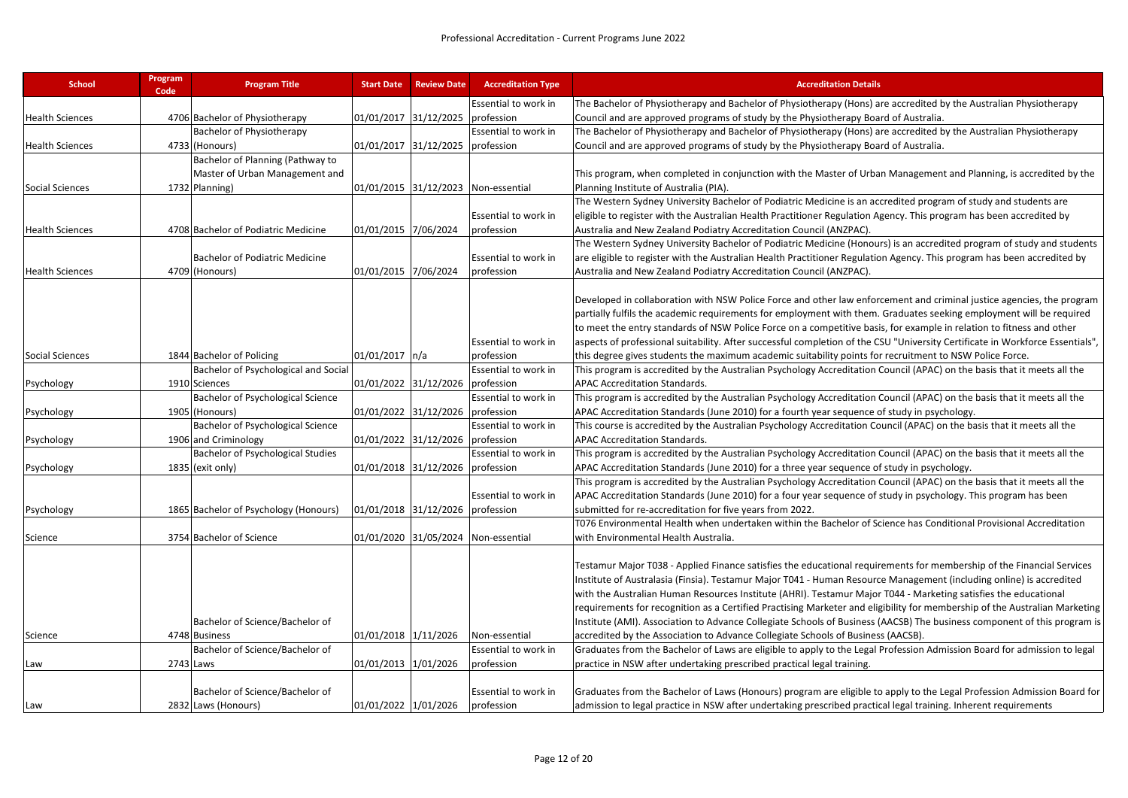| <b>School</b>          | Program<br>Code | <b>Program Title</b>                  | <b>Start Date</b>     | <b>Review Date</b>               | <b>Accreditation Type</b>           | <b>Accreditation Details</b>                                                                                                  |
|------------------------|-----------------|---------------------------------------|-----------------------|----------------------------------|-------------------------------------|-------------------------------------------------------------------------------------------------------------------------------|
|                        |                 |                                       |                       |                                  | Essential to work in                | The Bachelor of Physiotherapy and Bachelor of Physiotherapy (Hons) are accredited by the Australian Physiotherapy             |
| <b>Health Sciences</b> |                 | 4706 Bachelor of Physiotherapy        | 01/01/2017 31/12/2025 |                                  | profession                          | Council and are approved programs of study by the Physiotherapy Board of Australia.                                           |
|                        |                 | Bachelor of Physiotherapy             |                       |                                  | Essential to work in                | The Bachelor of Physiotherapy and Bachelor of Physiotherapy (Hons) are accredited by the Australian Physiotherapy             |
| <b>Health Sciences</b> |                 | 4733 (Honours)                        |                       | 01/01/2017 31/12/2025            | profession                          | Council and are approved programs of study by the Physiotherapy Board of Australia.                                           |
|                        |                 | Bachelor of Planning (Pathway to      |                       |                                  |                                     |                                                                                                                               |
|                        |                 | Master of Urban Management and        |                       |                                  |                                     | This program, when completed in conjunction with the Master of Urban Management and Planning, is accredited by the            |
| Social Sciences        |                 | 1732 Planning)                        |                       |                                  | 01/01/2015 31/12/2023 Non-essential | Planning Institute of Australia (PIA).                                                                                        |
|                        |                 |                                       |                       |                                  |                                     | The Western Sydney University Bachelor of Podiatric Medicine is an accredited program of study and students are               |
|                        |                 |                                       |                       |                                  | Essential to work in                | eligible to register with the Australian Health Practitioner Regulation Agency. This program has been accredited by           |
| <b>Health Sciences</b> |                 | 4708 Bachelor of Podiatric Medicine   | 01/01/2015 7/06/2024  |                                  | profession                          | Australia and New Zealand Podiatry Accreditation Council (ANZPAC).                                                            |
|                        |                 |                                       |                       |                                  |                                     | The Western Sydney University Bachelor of Podiatric Medicine (Honours) is an accredited program of study and students         |
|                        |                 | <b>Bachelor of Podiatric Medicine</b> |                       |                                  | Essential to work in                | are eligible to register with the Australian Health Practitioner Regulation Agency. This program has been accredited by       |
| <b>Health Sciences</b> |                 | 4709 (Honours)                        | 01/01/2015 7/06/2024  |                                  | profession                          | Australia and New Zealand Podiatry Accreditation Council (ANZPAC).                                                            |
|                        |                 |                                       |                       |                                  |                                     |                                                                                                                               |
|                        |                 |                                       |                       |                                  |                                     | Developed in collaboration with NSW Police Force and other law enforcement and criminal justice agencies, the program         |
|                        |                 |                                       |                       |                                  |                                     | partially fulfils the academic requirements for employment with them. Graduates seeking employment will be required           |
|                        |                 |                                       |                       |                                  |                                     | to meet the entry standards of NSW Police Force on a competitive basis, for example in relation to fitness and other          |
|                        |                 |                                       |                       |                                  | Essential to work in                | aspects of professional suitability. After successful completion of the CSU "University Certificate in Workforce Essentials", |
| Social Sciences        |                 | 1844 Bachelor of Policing             | 01/01/2017  n/a       |                                  | profession                          | this degree gives students the maximum academic suitability points for recruitment to NSW Police Force.                       |
|                        |                 | Bachelor of Psychological and Social  |                       |                                  | Essential to work in                | This program is accredited by the Australian Psychology Accreditation Council (APAC) on the basis that it meets all the       |
| Psychology             |                 | 1910 Sciences                         | 01/01/2022 31/12/2026 |                                  | profession                          | APAC Accreditation Standards.                                                                                                 |
|                        |                 | Bachelor of Psychological Science     |                       |                                  | Essential to work in                | This program is accredited by the Australian Psychology Accreditation Council (APAC) on the basis that it meets all the       |
| Psychology             |                 | 1905 (Honours)                        | 01/01/2022 31/12/2026 |                                  | profession                          | APAC Accreditation Standards (June 2010) for a fourth year sequence of study in psychology.                                   |
|                        |                 | Bachelor of Psychological Science     |                       |                                  | Essential to work in                | This course is accredited by the Australian Psychology Accreditation Council (APAC) on the basis that it meets all the        |
| Psychology             |                 | 1906 and Criminology                  | 01/01/2022 31/12/2026 |                                  | profession                          | APAC Accreditation Standards.                                                                                                 |
|                        |                 | Bachelor of Psychological Studies     |                       |                                  | Essential to work in                | This program is accredited by the Australian Psychology Accreditation Council (APAC) on the basis that it meets all the       |
| Psychology             |                 | 1835 (exit only)                      |                       | 01/01/2018 31/12/2026 profession |                                     | APAC Accreditation Standards (June 2010) for a three year sequence of study in psychology.                                    |
|                        |                 |                                       |                       |                                  |                                     | This program is accredited by the Australian Psychology Accreditation Council (APAC) on the basis that it meets all the       |
|                        |                 |                                       |                       |                                  | Essential to work in                | APAC Accreditation Standards (June 2010) for a four year sequence of study in psychology. This program has been               |
| Psychology             |                 | 1865 Bachelor of Psychology (Honours) |                       | 01/01/2018 31/12/2026 profession |                                     | submitted for re-accreditation for five years from 2022.                                                                      |
|                        |                 |                                       |                       |                                  |                                     | T076 Environmental Health when undertaken within the Bachelor of Science has Conditional Provisional Accreditation            |
| Science                |                 | 3754 Bachelor of Science              |                       |                                  | 01/01/2020 31/05/2024 Non-essential | with Environmental Health Australia.                                                                                          |
|                        |                 |                                       |                       |                                  |                                     |                                                                                                                               |
|                        |                 |                                       |                       |                                  |                                     | Testamur Major T038 - Applied Finance satisfies the educational requirements for membership of the Financial Services         |
|                        |                 |                                       |                       |                                  |                                     | Institute of Australasia (Finsia). Testamur Major T041 - Human Resource Management (including online) is accredited           |
|                        |                 |                                       |                       |                                  |                                     | with the Australian Human Resources Institute (AHRI). Testamur Major T044 - Marketing satisfies the educational               |
|                        |                 |                                       |                       |                                  |                                     | requirements for recognition as a Certified Practising Marketer and eligibility for membership of the Australian Marketing    |
|                        |                 | Bachelor of Science/Bachelor of       |                       |                                  |                                     | Institute (AMI). Association to Advance Collegiate Schools of Business (AACSB) The business component of this program is      |
| Science                |                 | 4748 Business                         | 01/01/2018 1/11/2026  |                                  | Non-essential                       | accredited by the Association to Advance Collegiate Schools of Business (AACSB).                                              |
|                        |                 | Bachelor of Science/Bachelor of       |                       |                                  | Essential to work in                | Graduates from the Bachelor of Laws are eligible to apply to the Legal Profession Admission Board for admission to legal      |
| Law                    |                 | 2743 Laws                             | 01/01/2013 1/01/2026  |                                  | profession                          | practice in NSW after undertaking prescribed practical legal training.                                                        |
|                        |                 |                                       |                       |                                  |                                     |                                                                                                                               |
|                        |                 | Bachelor of Science/Bachelor of       |                       |                                  | Essential to work in                | Graduates from the Bachelor of Laws (Honours) program are eligible to apply to the Legal Profession Admission Board for       |
| Law                    |                 | 2832 Laws (Honours)                   | 01/01/2022 1/01/2026  |                                  | profession                          | admission to legal practice in NSW after undertaking prescribed practical legal training. Inherent requirements               |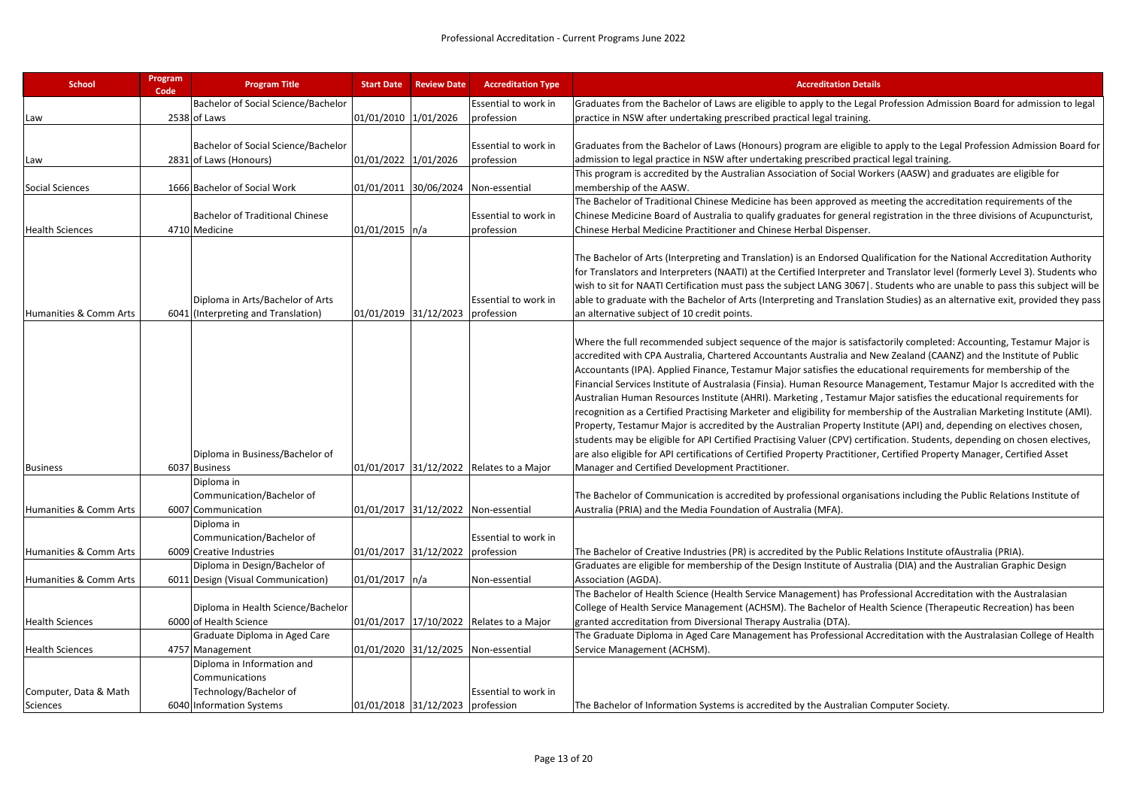| <b>School</b>                     | Program<br>Code | <b>Program Title</b>                                                                               | <b>Start Date</b>     | <b>Review Date</b>               | <b>Accreditation Type</b>                | <b>Accreditation Details</b>                                                                                                                                                                                                                                                                                                                                                                                                                                                                                                                                                                                                                                                                                                                                                                                                                                                                                                                                                                                                                                                                                                                                                    |
|-----------------------------------|-----------------|----------------------------------------------------------------------------------------------------|-----------------------|----------------------------------|------------------------------------------|---------------------------------------------------------------------------------------------------------------------------------------------------------------------------------------------------------------------------------------------------------------------------------------------------------------------------------------------------------------------------------------------------------------------------------------------------------------------------------------------------------------------------------------------------------------------------------------------------------------------------------------------------------------------------------------------------------------------------------------------------------------------------------------------------------------------------------------------------------------------------------------------------------------------------------------------------------------------------------------------------------------------------------------------------------------------------------------------------------------------------------------------------------------------------------|
|                                   |                 | Bachelor of Social Science/Bachelor                                                                |                       |                                  | Essential to work in                     | Graduates from the Bachelor of Laws are eligible to apply to the Legal Profession Admission Board for admission to legal                                                                                                                                                                                                                                                                                                                                                                                                                                                                                                                                                                                                                                                                                                                                                                                                                                                                                                                                                                                                                                                        |
| Law                               |                 | 2538 of Laws                                                                                       | 01/01/2010 1/01/2026  |                                  | profession                               | practice in NSW after undertaking prescribed practical legal training.                                                                                                                                                                                                                                                                                                                                                                                                                                                                                                                                                                                                                                                                                                                                                                                                                                                                                                                                                                                                                                                                                                          |
| Law                               |                 | Bachelor of Social Science/Bachelor<br>2831 of Laws (Honours)                                      | 01/01/2022 1/01/2026  |                                  | Essential to work in<br>profession       | Graduates from the Bachelor of Laws (Honours) program are eligible to apply to the Legal Profession Admission Board for<br>admission to legal practice in NSW after undertaking prescribed practical legal training.                                                                                                                                                                                                                                                                                                                                                                                                                                                                                                                                                                                                                                                                                                                                                                                                                                                                                                                                                            |
| <b>Social Sciences</b>            |                 | 1666 Bachelor of Social Work                                                                       |                       |                                  | 01/01/2011 30/06/2024 Non-essential      | This program is accredited by the Australian Association of Social Workers (AASW) and graduates are eligible for<br>membership of the AASW.                                                                                                                                                                                                                                                                                                                                                                                                                                                                                                                                                                                                                                                                                                                                                                                                                                                                                                                                                                                                                                     |
| <b>Health Sciences</b>            |                 | <b>Bachelor of Traditional Chinese</b><br>4710 Medicine                                            | $01/01/2015$  n/a     |                                  | Essential to work in<br>profession       | The Bachelor of Traditional Chinese Medicine has been approved as meeting the accreditation requirements of the<br>Chinese Medicine Board of Australia to qualify graduates for general registration in the three divisions of Acupuncturist,<br>Chinese Herbal Medicine Practitioner and Chinese Herbal Dispenser.                                                                                                                                                                                                                                                                                                                                                                                                                                                                                                                                                                                                                                                                                                                                                                                                                                                             |
| Humanities & Comm Arts            |                 | Diploma in Arts/Bachelor of Arts<br>6041 (Interpreting and Translation)                            |                       | 01/01/2019 31/12/2023 profession | Essential to work in                     | The Bachelor of Arts (Interpreting and Translation) is an Endorsed Qualification for the National Accreditation Authority<br>for Translators and Interpreters (NAATI) at the Certified Interpreter and Translator level (formerly Level 3). Students who<br>wish to sit for NAATI Certification must pass the subject LANG 3067  . Students who are unable to pass this subject will be<br>able to graduate with the Bachelor of Arts (Interpreting and Translation Studies) as an alternative exit, provided they pass<br>an alternative subject of 10 credit points.                                                                                                                                                                                                                                                                                                                                                                                                                                                                                                                                                                                                          |
| <b>Business</b>                   |                 | Diploma in Business/Bachelor of<br>6037 Business                                                   |                       |                                  | 01/01/2017 31/12/2022 Relates to a Major | Where the full recommended subject sequence of the major is satisfactorily completed: Accounting, Testamur Major is<br>accredited with CPA Australia, Chartered Accountants Australia and New Zealand (CAANZ) and the Institute of Public<br>Accountants (IPA). Applied Finance, Testamur Major satisfies the educational requirements for membership of the<br>Financial Services Institute of Australasia (Finsia). Human Resource Management, Testamur Major Is accredited with the<br>Australian Human Resources Institute (AHRI). Marketing, Testamur Major satisfies the educational requirements for<br>recognition as a Certified Practising Marketer and eligibility for membership of the Australian Marketing Institute (AMI).<br>Property, Testamur Major is accredited by the Australian Property Institute (API) and, depending on electives chosen,<br>students may be eligible for API Certified Practising Valuer (CPV) certification. Students, depending on chosen electives,<br>are also eligible for API certifications of Certified Property Practitioner, Certified Property Manager, Certified Asset<br>Manager and Certified Development Practitioner. |
| Humanities & Comm Arts            |                 | Diploma in<br>Communication/Bachelor of<br>6007 Communication                                      |                       |                                  | 01/01/2017 31/12/2022 Non-essential      | The Bachelor of Communication is accredited by professional organisations including the Public Relations Institute of<br>Australia (PRIA) and the Media Foundation of Australia (MFA).                                                                                                                                                                                                                                                                                                                                                                                                                                                                                                                                                                                                                                                                                                                                                                                                                                                                                                                                                                                          |
| Humanities & Comm Arts            |                 | Diploma in<br>Communication/Bachelor of<br>6009 Creative Industries                                | 01/01/2017 31/12/2022 |                                  | Essential to work in<br>profession       | The Bachelor of Creative Industries (PR) is accredited by the Public Relations Institute of Australia (PRIA).                                                                                                                                                                                                                                                                                                                                                                                                                                                                                                                                                                                                                                                                                                                                                                                                                                                                                                                                                                                                                                                                   |
| Humanities & Comm Arts            |                 | Diploma in Design/Bachelor of<br>6011 Design (Visual Communication)                                | 01/01/2017  n/a       |                                  | Non-essential                            | Graduates are eligible for membership of the Design Institute of Australia (DIA) and the Australian Graphic Design<br>Association (AGDA).                                                                                                                                                                                                                                                                                                                                                                                                                                                                                                                                                                                                                                                                                                                                                                                                                                                                                                                                                                                                                                       |
| <b>Health Sciences</b>            |                 | Diploma in Health Science/Bachelor<br>6000 of Health Science                                       |                       |                                  | 01/01/2017 17/10/2022 Relates to a Major | The Bachelor of Health Science (Health Service Management) has Professional Accreditation with the Australasian<br>College of Health Service Management (ACHSM). The Bachelor of Health Science (Therapeutic Recreation) has been<br>granted accreditation from Diversional Therapy Australia (DTA).                                                                                                                                                                                                                                                                                                                                                                                                                                                                                                                                                                                                                                                                                                                                                                                                                                                                            |
| <b>Health Sciences</b>            |                 | Graduate Diploma in Aged Care<br>4757 Management                                                   |                       |                                  | 01/01/2020 31/12/2025 Non-essential      | The Graduate Diploma in Aged Care Management has Professional Accreditation with the Australasian College of Health<br>Service Management (ACHSM).                                                                                                                                                                                                                                                                                                                                                                                                                                                                                                                                                                                                                                                                                                                                                                                                                                                                                                                                                                                                                              |
| Computer, Data & Math<br>Sciences |                 | Diploma in Information and<br>Communications<br>Technology/Bachelor of<br>6040 Information Systems |                       | 01/01/2018 31/12/2023 profession | Essential to work in                     | The Bachelor of Information Systems is accredited by the Australian Computer Society.                                                                                                                                                                                                                                                                                                                                                                                                                                                                                                                                                                                                                                                                                                                                                                                                                                                                                                                                                                                                                                                                                           |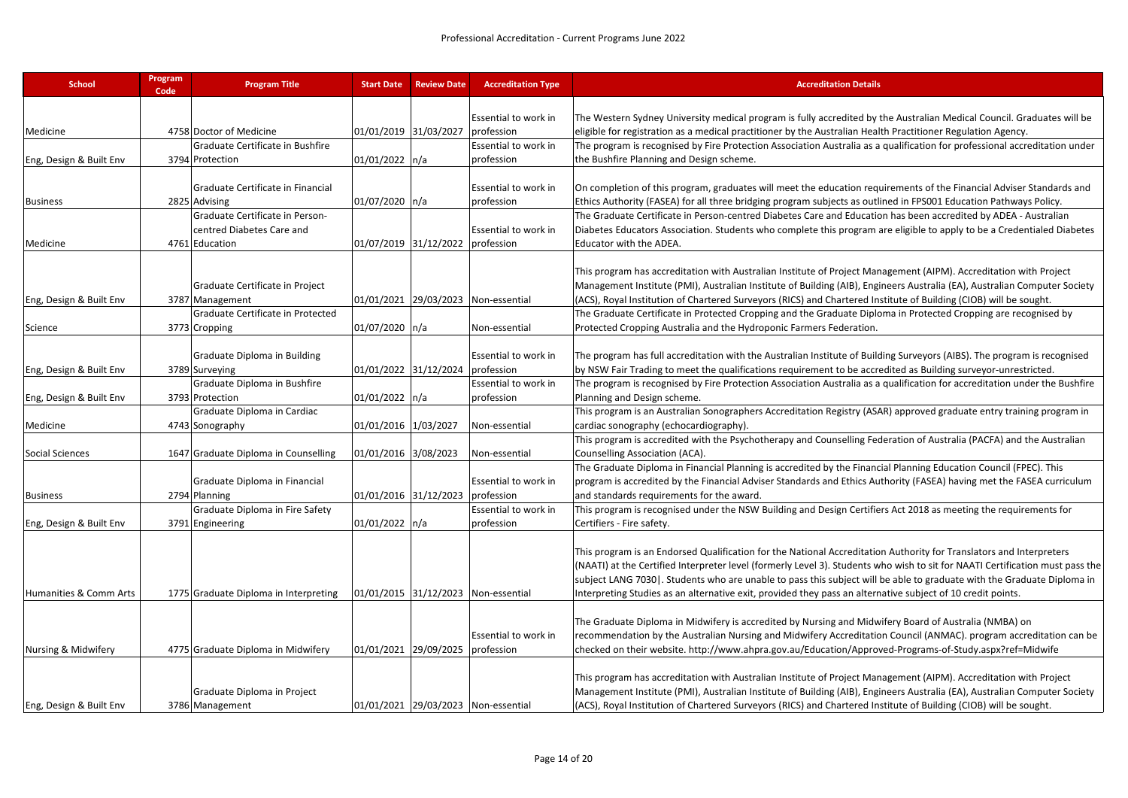| <b>School</b>           | Program<br>Code | <b>Program Title</b>                  | <b>Start Date</b>     | <b>Review Date</b>               | <b>Accreditation Type</b>           | <b>Accreditation Details</b>                                                                                                  |
|-------------------------|-----------------|---------------------------------------|-----------------------|----------------------------------|-------------------------------------|-------------------------------------------------------------------------------------------------------------------------------|
|                         |                 |                                       |                       |                                  | Essential to work in                | The Western Sydney University medical program is fully accredited by the Australian Medical Council. Graduates will be        |
| Medicine                |                 | 4758 Doctor of Medicine               | 01/01/2019 31/03/2027 |                                  | profession                          | eligible for registration as a medical practitioner by the Australian Health Practitioner Regulation Agency.                  |
|                         |                 | Graduate Certificate in Bushfire      |                       |                                  | Essential to work in                | The program is recognised by Fire Protection Association Australia as a qualification for professional accreditation under    |
| Eng, Design & Built Env |                 | 3794 Protection                       | 01/01/2022  n/a       |                                  | profession                          | the Bushfire Planning and Design scheme.                                                                                      |
|                         |                 |                                       |                       |                                  |                                     |                                                                                                                               |
|                         |                 | Graduate Certificate in Financial     |                       |                                  | Essential to work in                | On completion of this program, graduates will meet the education requirements of the Financial Adviser Standards and          |
| <b>Business</b>         |                 | 2825 Advising                         | 01/07/2020   n/a      |                                  | profession                          | Ethics Authority (FASEA) for all three bridging program subjects as outlined in FPS001 Education Pathways Policy.             |
|                         |                 | Graduate Certificate in Person-       |                       |                                  |                                     | The Graduate Certificate in Person-centred Diabetes Care and Education has been accredited by ADEA - Australian               |
|                         |                 | centred Diabetes Care and             |                       |                                  | <b>Essential to work in</b>         | Diabetes Educators Association. Students who complete this program are eligible to apply to be a Credentialed Diabetes        |
| Medicine                |                 | 4761 Education                        | 01/07/2019 31/12/2022 |                                  | profession                          | Educator with the ADEA.                                                                                                       |
|                         |                 |                                       |                       |                                  |                                     |                                                                                                                               |
|                         |                 |                                       |                       |                                  |                                     | This program has accreditation with Australian Institute of Project Management (AIPM). Accreditation with Project             |
|                         |                 | Graduate Certificate in Project       |                       |                                  |                                     | Management Institute (PMI), Australian Institute of Building (AIB), Engineers Australia (EA), Australian Computer Society     |
| Eng, Design & Built Env |                 | 3787 Management                       | 01/01/2021 29/03/2023 |                                  | Non-essential                       | (ACS), Royal Institution of Chartered Surveyors (RICS) and Chartered Institute of Building (CIOB) will be sought.             |
|                         |                 | Graduate Certificate in Protected     |                       |                                  |                                     | The Graduate Certificate in Protected Cropping and the Graduate Diploma in Protected Cropping are recognised by               |
| Science                 |                 | 3773 Cropping                         | 01/07/2020   n/a      |                                  | Non-essential                       | Protected Cropping Australia and the Hydroponic Farmers Federation.                                                           |
|                         |                 |                                       |                       |                                  |                                     |                                                                                                                               |
|                         |                 | Graduate Diploma in Building          |                       |                                  | Essential to work in                | The program has full accreditation with the Australian Institute of Building Surveyors (AIBS). The program is recognised      |
| Eng, Design & Built Env |                 | 3789 Surveying                        |                       | 01/01/2022 31/12/2024 profession |                                     | by NSW Fair Trading to meet the qualifications requirement to be accredited as Building surveyor-unrestricted.                |
|                         |                 | Graduate Diploma in Bushfire          |                       |                                  | Essential to work in                | The program is recognised by Fire Protection Association Australia as a qualification for accreditation under the Bushfire    |
| Eng, Design & Built Env |                 | 3793 Protection                       | 01/01/2022 n/a        |                                  | profession                          | Planning and Design scheme.                                                                                                   |
|                         |                 | Graduate Diploma in Cardiac           |                       |                                  |                                     | This program is an Australian Sonographers Accreditation Registry (ASAR) approved graduate entry training program in          |
| Medicine                |                 | 4743 Sonography                       | 01/01/2016 1/03/2027  |                                  | Non-essential                       | cardiac sonography (echocardiography).                                                                                        |
|                         |                 |                                       |                       |                                  |                                     | This program is accredited with the Psychotherapy and Counselling Federation of Australia (PACFA) and the Australian          |
| Social Sciences         |                 | 1647 Graduate Diploma in Counselling  | 01/01/2016 3/08/2023  |                                  | Non-essential                       | Counselling Association (ACA).                                                                                                |
|                         |                 |                                       |                       |                                  |                                     | The Graduate Diploma in Financial Planning is accredited by the Financial Planning Education Council (FPEC). This             |
|                         |                 | Graduate Diploma in Financial         |                       |                                  | Essential to work in                | program is accredited by the Financial Adviser Standards and Ethics Authority (FASEA) having met the FASEA curriculum         |
| <b>Business</b>         |                 | 2794 Planning                         | 01/01/2016 31/12/2023 |                                  | profession                          | and standards requirements for the award.                                                                                     |
|                         |                 | Graduate Diploma in Fire Safety       |                       |                                  | Essential to work in                | This program is recognised under the NSW Building and Design Certifiers Act 2018 as meeting the requirements for              |
| Eng, Design & Built Env |                 | 3791 Engineering                      | 01/01/2022  n/a       |                                  | profession                          | Certifiers - Fire safety.                                                                                                     |
|                         |                 |                                       |                       |                                  |                                     |                                                                                                                               |
|                         |                 |                                       |                       |                                  |                                     | This program is an Endorsed Qualification for the National Accreditation Authority for Translators and Interpreters           |
|                         |                 |                                       |                       |                                  |                                     | (NAATI) at the Certified Interpreter level (formerly Level 3). Students who wish to sit for NAATI Certification must pass the |
|                         |                 |                                       |                       |                                  |                                     | subject LANG 7030. Students who are unable to pass this subject will be able to graduate with the Graduate Diploma in         |
| Humanities & Comm Arts  |                 | 1775 Graduate Diploma in Interpreting |                       |                                  | 01/01/2015 31/12/2023 Non-essential | Interpreting Studies as an alternative exit, provided they pass an alternative subject of 10 credit points.                   |
|                         |                 |                                       |                       |                                  |                                     |                                                                                                                               |
|                         |                 |                                       |                       |                                  |                                     | The Graduate Diploma in Midwifery is accredited by Nursing and Midwifery Board of Australia (NMBA) on                         |
|                         |                 |                                       |                       |                                  | <b>Essential to work in</b>         | recommendation by the Australian Nursing and Midwifery Accreditation Council (ANMAC). program accreditation can be            |
| Nursing & Midwifery     |                 | 4775 Graduate Diploma in Midwifery    |                       | 01/01/2021 29/09/2025            | profession                          | checked on their website. http://www.ahpra.gov.au/Education/Approved-Programs-of-Study.aspx?ref=Midwife                       |
|                         |                 |                                       |                       |                                  |                                     |                                                                                                                               |
|                         |                 |                                       |                       |                                  |                                     | This program has accreditation with Australian Institute of Project Management (AIPM). Accreditation with Project             |
|                         |                 | Graduate Diploma in Project           |                       |                                  |                                     | Management Institute (PMI), Australian Institute of Building (AIB), Engineers Australia (EA), Australian Computer Society     |
| Eng, Design & Built Env |                 | 3786 Management                       |                       |                                  | 01/01/2021 29/03/2023 Non-essential | (ACS), Royal Institution of Chartered Surveyors (RICS) and Chartered Institute of Building (CIOB) will be sought.             |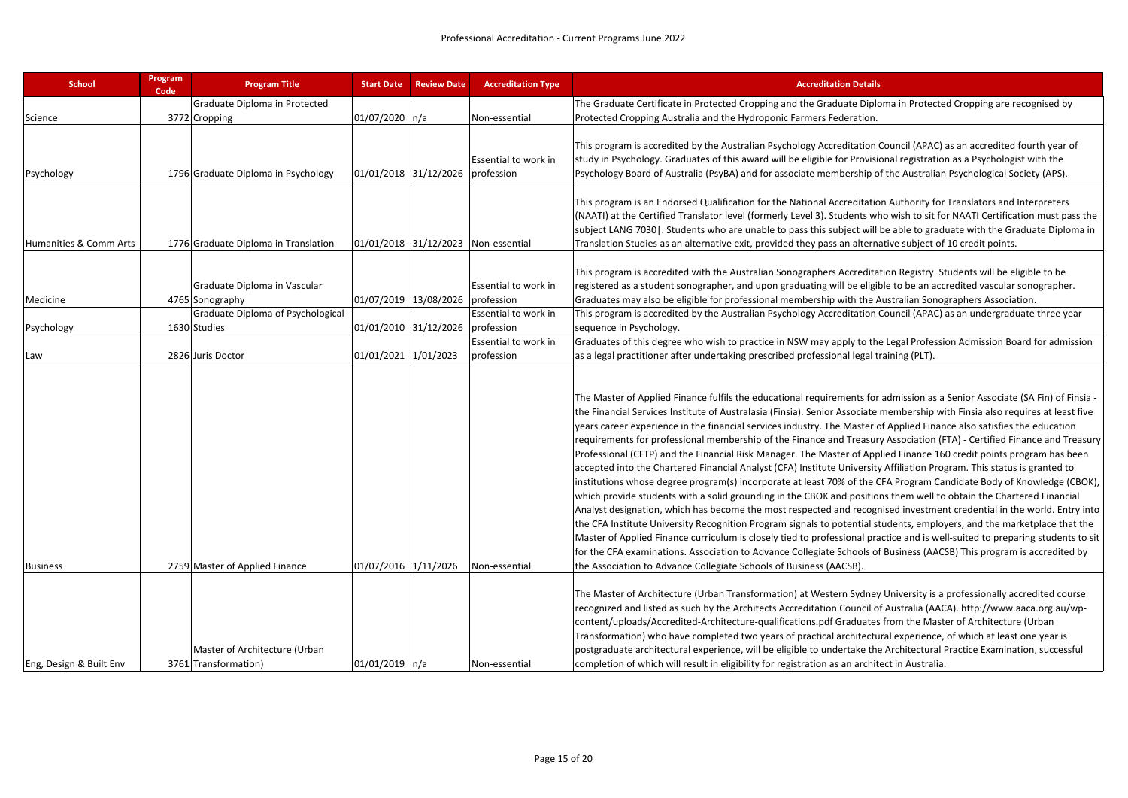| <b>School</b>           | Program<br>Code | <b>Program Title</b>                                  | <b>Start Date</b>     | <b>Review Date</b>               | <b>Accreditation Type</b>           | <b>Accreditation Details</b>                                                                                                                                                                                                                                                                                                                                                                                                                                                                                                                                                                                                                                                                                                                                                                                                                                                                                                                                                                                                                                                                                                                                                                                                                                                                                                                                                                                                                                                                                                                                                                             |
|-------------------------|-----------------|-------------------------------------------------------|-----------------------|----------------------------------|-------------------------------------|----------------------------------------------------------------------------------------------------------------------------------------------------------------------------------------------------------------------------------------------------------------------------------------------------------------------------------------------------------------------------------------------------------------------------------------------------------------------------------------------------------------------------------------------------------------------------------------------------------------------------------------------------------------------------------------------------------------------------------------------------------------------------------------------------------------------------------------------------------------------------------------------------------------------------------------------------------------------------------------------------------------------------------------------------------------------------------------------------------------------------------------------------------------------------------------------------------------------------------------------------------------------------------------------------------------------------------------------------------------------------------------------------------------------------------------------------------------------------------------------------------------------------------------------------------------------------------------------------------|
|                         |                 | Graduate Diploma in Protected                         |                       |                                  |                                     | The Graduate Certificate in Protected Cropping and the Graduate Diploma in Protected Cropping are recognised by                                                                                                                                                                                                                                                                                                                                                                                                                                                                                                                                                                                                                                                                                                                                                                                                                                                                                                                                                                                                                                                                                                                                                                                                                                                                                                                                                                                                                                                                                          |
| Science                 |                 | 3772 Cropping                                         | 01/07/2020 n/a        |                                  | Non-essential                       | Protected Cropping Australia and the Hydroponic Farmers Federation.                                                                                                                                                                                                                                                                                                                                                                                                                                                                                                                                                                                                                                                                                                                                                                                                                                                                                                                                                                                                                                                                                                                                                                                                                                                                                                                                                                                                                                                                                                                                      |
| Psychology              |                 | 1796 Graduate Diploma in Psychology                   |                       | 01/01/2018 31/12/2026 profession | Essential to work in                | This program is accredited by the Australian Psychology Accreditation Council (APAC) as an accredited fourth year of<br>study in Psychology. Graduates of this award will be eligible for Provisional registration as a Psychologist with the<br>Psychology Board of Australia (PsyBA) and for associate membership of the Australian Psychological Society (APS).                                                                                                                                                                                                                                                                                                                                                                                                                                                                                                                                                                                                                                                                                                                                                                                                                                                                                                                                                                                                                                                                                                                                                                                                                                       |
| Humanities & Comm Arts  |                 | 1776 Graduate Diploma in Translation                  |                       |                                  | 01/01/2018 31/12/2023 Non-essential | This program is an Endorsed Qualification for the National Accreditation Authority for Translators and Interpreters<br>(NAATI) at the Certified Translator level (formerly Level 3). Students who wish to sit for NAATI Certification must pass the<br>subject LANG 7030. Students who are unable to pass this subject will be able to graduate with the Graduate Diploma in<br>Translation Studies as an alternative exit, provided they pass an alternative subject of 10 credit points.                                                                                                                                                                                                                                                                                                                                                                                                                                                                                                                                                                                                                                                                                                                                                                                                                                                                                                                                                                                                                                                                                                               |
| Medicine                |                 | Graduate Diploma in Vascular<br>4765 Sonography       |                       | 01/07/2019 13/08/2026 profession | Essential to work in                | This program is accredited with the Australian Sonographers Accreditation Registry. Students will be eligible to be<br>registered as a student sonographer, and upon graduating will be eligible to be an accredited vascular sonographer.<br>Graduates may also be eligible for professional membership with the Australian Sonographers Association.                                                                                                                                                                                                                                                                                                                                                                                                                                                                                                                                                                                                                                                                                                                                                                                                                                                                                                                                                                                                                                                                                                                                                                                                                                                   |
|                         |                 | Graduate Diploma of Psychological                     |                       |                                  | Essential to work in                | This program is accredited by the Australian Psychology Accreditation Council (APAC) as an undergraduate three year                                                                                                                                                                                                                                                                                                                                                                                                                                                                                                                                                                                                                                                                                                                                                                                                                                                                                                                                                                                                                                                                                                                                                                                                                                                                                                                                                                                                                                                                                      |
| Psychology              |                 | 1630 Studies                                          | 01/01/2010 31/12/2026 |                                  | profession<br>Essential to work in  | sequence in Psychology.<br>Graduates of this degree who wish to practice in NSW may apply to the Legal Profession Admission Board for admission                                                                                                                                                                                                                                                                                                                                                                                                                                                                                                                                                                                                                                                                                                                                                                                                                                                                                                                                                                                                                                                                                                                                                                                                                                                                                                                                                                                                                                                          |
| Law                     |                 | 2826 Juris Doctor                                     | 01/01/2021 1/01/2023  |                                  | profession                          | as a legal practitioner after undertaking prescribed professional legal training (PLT).                                                                                                                                                                                                                                                                                                                                                                                                                                                                                                                                                                                                                                                                                                                                                                                                                                                                                                                                                                                                                                                                                                                                                                                                                                                                                                                                                                                                                                                                                                                  |
| <b>Business</b>         |                 | 2759 Master of Applied Finance                        | 01/07/2016 1/11/2026  |                                  | Non-essential                       | - The Master of Applied Finance fulfils the educational requirements for admission as a Senior Associate (SA Fin) of Finsia<br>the Financial Services Institute of Australasia (Finsia). Senior Associate membership with Finsia also requires at least five<br>years career experience in the financial services industry. The Master of Applied Finance also satisfies the education<br>requirements for professional membership of the Finance and Treasury Association (FTA) - Certified Finance and Treasury<br>Professional (CFTP) and the Financial Risk Manager. The Master of Applied Finance 160 credit points program has been<br>accepted into the Chartered Financial Analyst (CFA) Institute University Affiliation Program. This status is granted to<br>institutions whose degree program(s) incorporate at least 70% of the CFA Program Candidate Body of Knowledge (CBOK),<br>which provide students with a solid grounding in the CBOK and positions them well to obtain the Chartered Financial<br>Analyst designation, which has become the most respected and recognised investment credential in the world. Entry into<br>the CFA Institute University Recognition Program signals to potential students, employers, and the marketplace that the<br>Master of Applied Finance curriculum is closely tied to professional practice and is well-suited to preparing students to sit<br>for the CFA examinations. Association to Advance Collegiate Schools of Business (AACSB) This program is accredited by<br>the Association to Advance Collegiate Schools of Business (AACSB). |
| Eng, Design & Built Env |                 | Master of Architecture (Urban<br>3761 Transformation) | $01/01/2019$  n/a     |                                  | Non-essential                       | The Master of Architecture (Urban Transformation) at Western Sydney University is a professionally accredited course<br>recognized and listed as such by the Architects Accreditation Council of Australia (AACA). http://www.aaca.org.au/wp-<br>content/uploads/Accredited-Architecture-qualifications.pdf Graduates from the Master of Architecture (Urban<br>Transformation) who have completed two years of practical architectural experience, of which at least one year is<br>postgraduate architectural experience, will be eligible to undertake the Architectural Practice Examination, successful<br>completion of which will result in eligibility for registration as an architect in Australia.                                                                                                                                                                                                                                                                                                                                                                                                                                                                                                                                                                                                                                                                                                                                                                                                                                                                                            |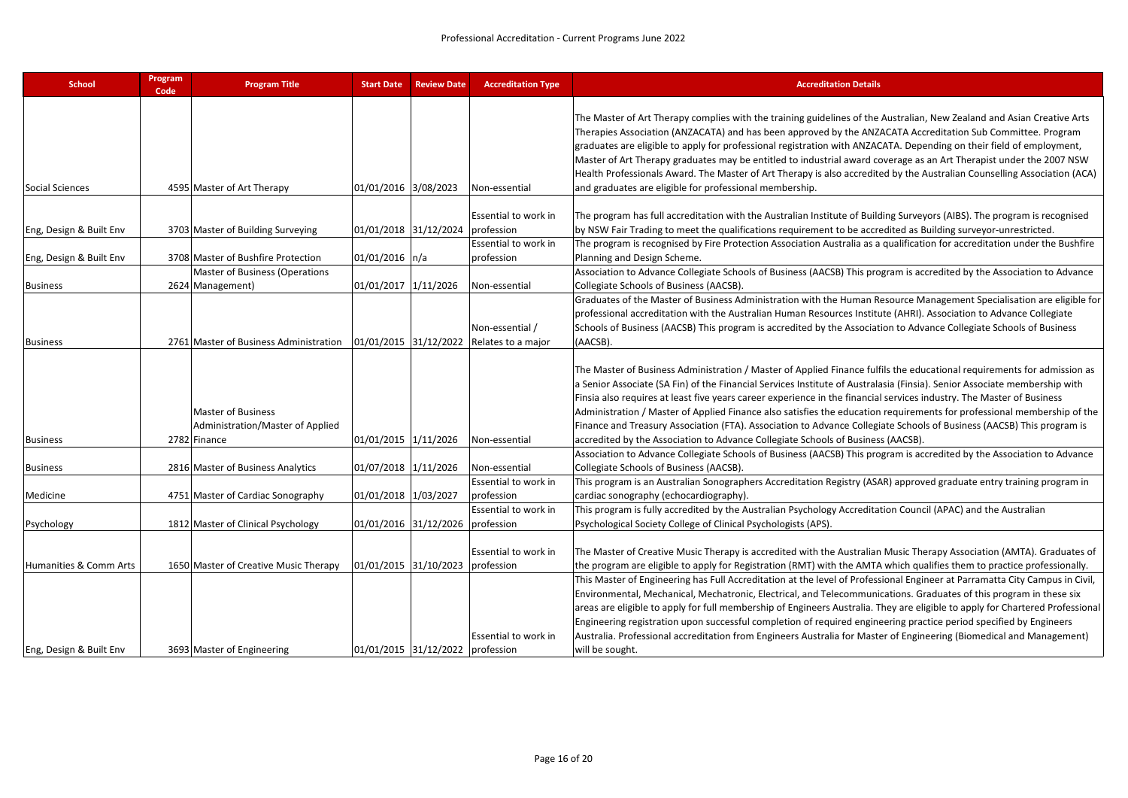| <b>School</b>           | Program<br>Code | <b>Program Title</b>                                           | <b>Start Date</b>     | <b>Review Date</b> | <b>Accreditation Type</b> | <b>Accreditation Details</b>                                                                                                                                                                                                                         |
|-------------------------|-----------------|----------------------------------------------------------------|-----------------------|--------------------|---------------------------|------------------------------------------------------------------------------------------------------------------------------------------------------------------------------------------------------------------------------------------------------|
|                         |                 |                                                                |                       |                    |                           | The Master of Art Therapy complies with the training guidelines of the Australian, New Zealand and Asian Creative Arts                                                                                                                               |
|                         |                 |                                                                |                       |                    |                           | Therapies Association (ANZACATA) and has been approved by the ANZACATA Accreditation Sub Committee. Program                                                                                                                                          |
|                         |                 |                                                                |                       |                    |                           | graduates are eligible to apply for professional registration with ANZACATA. Depending on their field of employment,                                                                                                                                 |
|                         |                 |                                                                |                       |                    |                           | Master of Art Therapy graduates may be entitled to industrial award coverage as an Art Therapist under the 2007 NSW                                                                                                                                  |
| <b>Social Sciences</b>  |                 | 4595 Master of Art Therapy                                     | 01/01/2016 3/08/2023  |                    | Non-essential             | Health Professionals Award. The Master of Art Therapy is also accredited by the Australian Counselling Association (ACA)<br>and graduates are eligible for professional membership.                                                                  |
|                         |                 |                                                                |                       |                    |                           |                                                                                                                                                                                                                                                      |
|                         |                 |                                                                |                       |                    | Essential to work in      | The program has full accreditation with the Australian Institute of Building Surveyors (AIBS). The program is recognised                                                                                                                             |
| Eng, Design & Built Env |                 | 3703 Master of Building Surveying                              | 01/01/2018 31/12/2024 |                    | profession                | by NSW Fair Trading to meet the qualifications requirement to be accredited as Building surveyor-unrestricted.                                                                                                                                       |
|                         |                 |                                                                |                       |                    | Essential to work in      | The program is recognised by Fire Protection Association Australia as a qualification for accreditation under the Bushfire                                                                                                                           |
| Eng, Design & Built Env |                 | 3708 Master of Bushfire Protection                             | 01/01/2016 n/a        |                    | profession                | Planning and Design Scheme.                                                                                                                                                                                                                          |
|                         |                 | Master of Business (Operations                                 |                       |                    |                           | Association to Advance Collegiate Schools of Business (AACSB) This program is accredited by the Association to Advance                                                                                                                               |
| <b>Business</b>         |                 | 2624 Management)                                               | 01/01/2017 1/11/2026  |                    | Non-essential             | Collegiate Schools of Business (AACSB).                                                                                                                                                                                                              |
|                         |                 |                                                                |                       |                    |                           | Graduates of the Master of Business Administration with the Human Resource Management Specialisation are eligible for                                                                                                                                |
|                         |                 |                                                                |                       |                    |                           | professional accreditation with the Australian Human Resources Institute (AHRI). Association to Advance Collegiate                                                                                                                                   |
|                         |                 |                                                                |                       |                    | Non-essential /           | Schools of Business (AACSB) This program is accredited by the Association to Advance Collegiate Schools of Business                                                                                                                                  |
| <b>Business</b>         |                 | 2761 Master of Business Administration   01/01/2015 31/12/2022 |                       |                    | Relates to a major        | (AACSB).                                                                                                                                                                                                                                             |
|                         |                 |                                                                |                       |                    |                           |                                                                                                                                                                                                                                                      |
|                         |                 |                                                                |                       |                    |                           | The Master of Business Administration / Master of Applied Finance fulfils the educational requirements for admission as<br>a Senior Associate (SA Fin) of the Financial Services Institute of Australasia (Finsia). Senior Associate membership with |
|                         |                 |                                                                |                       |                    |                           | Finsia also requires at least five years career experience in the financial services industry. The Master of Business                                                                                                                                |
|                         |                 | <b>Master of Business</b>                                      |                       |                    |                           | Administration / Master of Applied Finance also satisfies the education requirements for professional membership of the                                                                                                                              |
|                         |                 | Administration/Master of Applied                               |                       |                    |                           | Finance and Treasury Association (FTA). Association to Advance Collegiate Schools of Business (AACSB) This program is                                                                                                                                |
| <b>Business</b>         |                 | 2782 Finance                                                   | 01/01/2015 1/11/2026  |                    | Non-essential             | accredited by the Association to Advance Collegiate Schools of Business (AACSB).                                                                                                                                                                     |
|                         |                 |                                                                |                       |                    |                           | Association to Advance Collegiate Schools of Business (AACSB) This program is accredited by the Association to Advance                                                                                                                               |
| <b>Business</b>         |                 | 2816 Master of Business Analytics                              | 01/07/2018 1/11/2026  |                    | Non-essential             | Collegiate Schools of Business (AACSB).                                                                                                                                                                                                              |
|                         |                 |                                                                |                       |                    | Essential to work in      | This program is an Australian Sonographers Accreditation Registry (ASAR) approved graduate entry training program in                                                                                                                                 |
| Medicine                |                 | 4751 Master of Cardiac Sonography                              | 01/01/2018 1/03/2027  |                    | profession                | cardiac sonography (echocardiography).                                                                                                                                                                                                               |
|                         |                 |                                                                |                       |                    | Essential to work in      | This program is fully accredited by the Australian Psychology Accreditation Council (APAC) and the Australian                                                                                                                                        |
| Psychology              |                 | 1812 Master of Clinical Psychology                             | 01/01/2016 31/12/2026 |                    | profession                | Psychological Society College of Clinical Psychologists (APS).                                                                                                                                                                                       |
|                         |                 |                                                                |                       |                    |                           |                                                                                                                                                                                                                                                      |
|                         |                 |                                                                |                       |                    | Essential to work in      | The Master of Creative Music Therapy is accredited with the Australian Music Therapy Association (AMTA). Graduates of                                                                                                                                |
| Humanities & Comm Arts  |                 | 1650 Master of Creative Music Therapy                          | 01/01/2015 31/10/2023 |                    | profession                | the program are eligible to apply for Registration (RMT) with the AMTA which qualifies them to practice professionally.                                                                                                                              |
|                         |                 |                                                                |                       |                    |                           | This Master of Engineering has Full Accreditation at the level of Professional Engineer at Parramatta City Campus in Civil,<br>Environmental, Mechanical, Mechatronic, Electrical, and Telecommunications. Graduates of this program in these six    |
|                         |                 |                                                                |                       |                    |                           | areas are eligible to apply for full membership of Engineers Australia. They are eligible to apply for Chartered Professional                                                                                                                        |
|                         |                 |                                                                |                       |                    |                           | Engineering registration upon successful completion of required engineering practice period specified by Engineers                                                                                                                                   |
|                         |                 |                                                                |                       |                    | Essential to work in      | Australia. Professional accreditation from Engineers Australia for Master of Engineering (Biomedical and Management)                                                                                                                                 |
| Eng, Design & Built Env |                 | 3693 Master of Engineering                                     | 01/01/2015 31/12/2022 |                    | profession                | will be sought.                                                                                                                                                                                                                                      |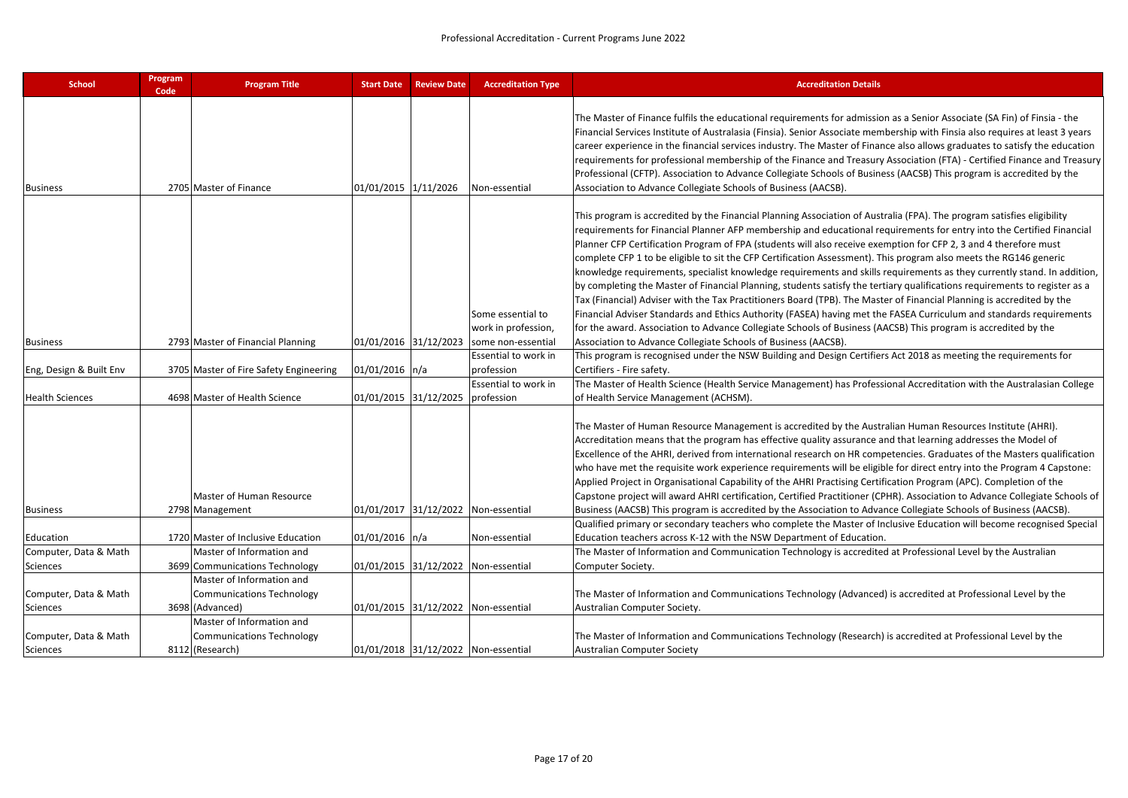| <b>School</b>                      | Program<br>Code | <b>Program Title</b>                                                             |                       | <b>Start Date Review Date</b> | <b>Accreditation Type</b>                                      | <b>Accreditation Details</b>                                                                                                                                                                                                                                                                                                                                                                                                                                                                                                                                                                                                                                                                                                                                                                                                                                                                                                                                                                                                                                                                                                                                                          |
|------------------------------------|-----------------|----------------------------------------------------------------------------------|-----------------------|-------------------------------|----------------------------------------------------------------|---------------------------------------------------------------------------------------------------------------------------------------------------------------------------------------------------------------------------------------------------------------------------------------------------------------------------------------------------------------------------------------------------------------------------------------------------------------------------------------------------------------------------------------------------------------------------------------------------------------------------------------------------------------------------------------------------------------------------------------------------------------------------------------------------------------------------------------------------------------------------------------------------------------------------------------------------------------------------------------------------------------------------------------------------------------------------------------------------------------------------------------------------------------------------------------|
| <b>Business</b>                    |                 | 2705 Master of Finance                                                           | 01/01/2015 1/11/2026  |                               | Non-essential                                                  | The Master of Finance fulfils the educational requirements for admission as a Senior Associate (SA Fin) of Finsia - the<br>Financial Services Institute of Australasia (Finsia). Senior Associate membership with Finsia also requires at least 3 years<br>career experience in the financial services industry. The Master of Finance also allows graduates to satisfy the education<br>requirements for professional membership of the Finance and Treasury Association (FTA) - Certified Finance and Treasury<br>Professional (CFTP). Association to Advance Collegiate Schools of Business (AACSB) This program is accredited by the<br>Association to Advance Collegiate Schools of Business (AACSB).                                                                                                                                                                                                                                                                                                                                                                                                                                                                            |
| <b>Business</b>                    |                 | 2793 Master of Financial Planning                                                | 01/01/2016 31/12/2023 |                               | Some essential to<br>work in profession,<br>some non-essential | This program is accredited by the Financial Planning Association of Australia (FPA). The program satisfies eligibility<br>requirements for Financial Planner AFP membership and educational requirements for entry into the Certified Financial<br>Planner CFP Certification Program of FPA (students will also receive exemption for CFP 2, 3 and 4 therefore must<br>complete CFP 1 to be eligible to sit the CFP Certification Assessment). This program also meets the RG146 generic<br>knowledge requirements, specialist knowledge requirements and skills requirements as they currently stand. In addition,<br>by completing the Master of Financial Planning, students satisfy the tertiary qualifications requirements to register as a<br>Tax (Financial) Adviser with the Tax Practitioners Board (TPB). The Master of Financial Planning is accredited by the<br>Financial Adviser Standards and Ethics Authority (FASEA) having met the FASEA Curriculum and standards requirements<br>for the award. Association to Advance Collegiate Schools of Business (AACSB) This program is accredited by the<br>Association to Advance Collegiate Schools of Business (AACSB). |
| Eng, Design & Built Env            |                 | 3705 Master of Fire Safety Engineering                                           | 01/01/2016 n/a        |                               | Essential to work in<br>profession                             | This program is recognised under the NSW Building and Design Certifiers Act 2018 as meeting the requirements for<br>Certifiers - Fire safety.                                                                                                                                                                                                                                                                                                                                                                                                                                                                                                                                                                                                                                                                                                                                                                                                                                                                                                                                                                                                                                         |
| <b>Health Sciences</b>             |                 | 4698 Master of Health Science                                                    |                       | 01/01/2015 31/12/2025         | Essential to work in<br>profession                             | The Master of Health Science (Health Service Management) has Professional Accreditation with the Australasian College<br>of Health Service Management (ACHSM).                                                                                                                                                                                                                                                                                                                                                                                                                                                                                                                                                                                                                                                                                                                                                                                                                                                                                                                                                                                                                        |
| <b>Business</b>                    |                 | Master of Human Resource<br>2798 Management                                      |                       |                               | 01/01/2017 31/12/2022 Non-essential                            | The Master of Human Resource Management is accredited by the Australian Human Resources Institute (AHRI).<br>Accreditation means that the program has effective quality assurance and that learning addresses the Model of<br>Excellence of the AHRI, derived from international research on HR competencies. Graduates of the Masters qualification<br>who have met the requisite work experience requirements will be eligible for direct entry into the Program 4 Capstone:<br>Applied Project in Organisational Capability of the AHRI Practising Certification Program (APC). Completion of the<br>Capstone project will award AHRI certification, Certified Practitioner (CPHR). Association to Advance Collegiate Schools of<br>Business (AACSB) This program is accredited by the Association to Advance Collegiate Schools of Business (AACSB).                                                                                                                                                                                                                                                                                                                              |
|                                    |                 |                                                                                  |                       |                               |                                                                | Qualified primary or secondary teachers who complete the Master of Inclusive Education will become recognised Special                                                                                                                                                                                                                                                                                                                                                                                                                                                                                                                                                                                                                                                                                                                                                                                                                                                                                                                                                                                                                                                                 |
| Education<br>Computer, Data & Math |                 | 1720 Master of Inclusive Education<br>Master of Information and                  | $01/01/2016$  n/a     |                               | Non-essential                                                  | Education teachers across K-12 with the NSW Department of Education.<br>The Master of Information and Communication Technology is accredited at Professional Level by the Australian                                                                                                                                                                                                                                                                                                                                                                                                                                                                                                                                                                                                                                                                                                                                                                                                                                                                                                                                                                                                  |
| Sciences                           |                 | 3699 Communications Technology                                                   |                       |                               | 01/01/2015 31/12/2022 Non-essential                            | Computer Society.                                                                                                                                                                                                                                                                                                                                                                                                                                                                                                                                                                                                                                                                                                                                                                                                                                                                                                                                                                                                                                                                                                                                                                     |
| Computer, Data & Math<br>Sciences  |                 | Master of Information and<br><b>Communications Technology</b><br>3698 (Advanced) |                       |                               | 01/01/2015 31/12/2022 Non-essential                            | The Master of Information and Communications Technology (Advanced) is accredited at Professional Level by the<br>Australian Computer Society.                                                                                                                                                                                                                                                                                                                                                                                                                                                                                                                                                                                                                                                                                                                                                                                                                                                                                                                                                                                                                                         |
| Computer, Data & Math<br>Sciences  |                 | Master of Information and<br><b>Communications Technology</b><br>8112 (Research) |                       |                               | 01/01/2018 31/12/2022 Non-essential                            | The Master of Information and Communications Technology (Research) is accredited at Professional Level by the<br><b>Australian Computer Society</b>                                                                                                                                                                                                                                                                                                                                                                                                                                                                                                                                                                                                                                                                                                                                                                                                                                                                                                                                                                                                                                   |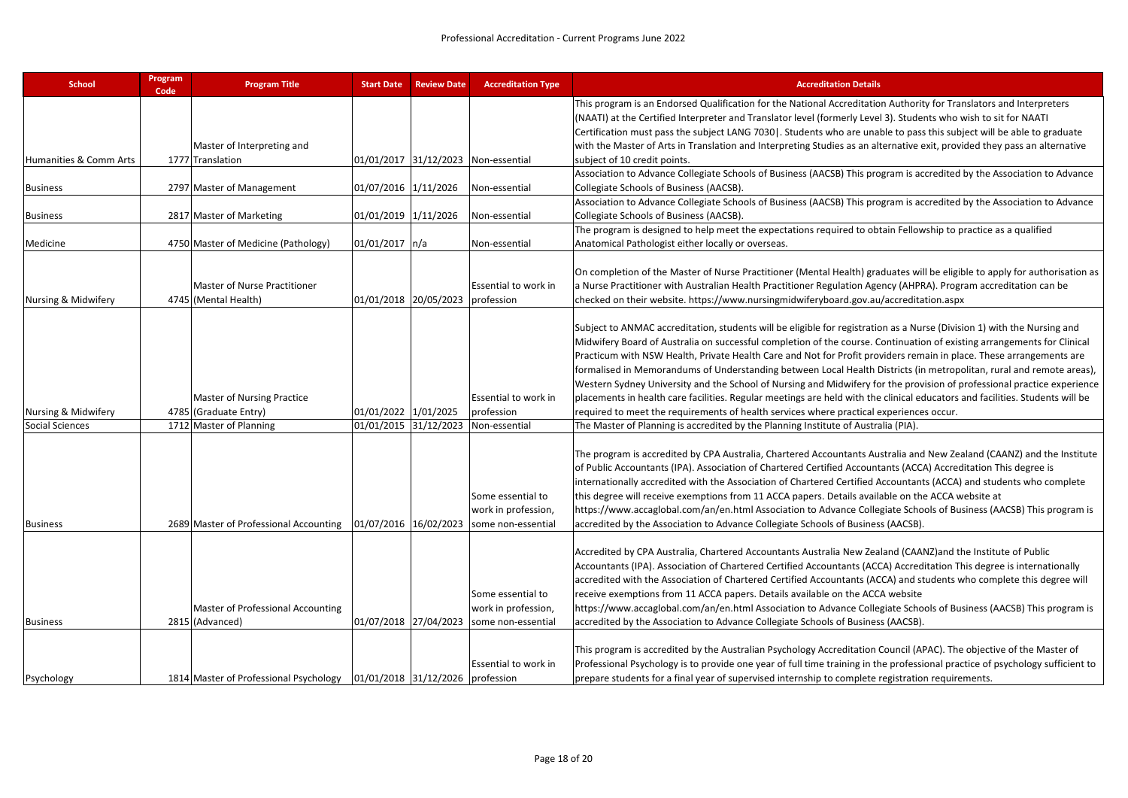| <b>School</b>          | Program<br>Code | <b>Program Title</b>                                             | <b>Start Date</b>     | <b>Review Date</b>    | <b>Accreditation Type</b>                                      | <b>Accreditation Details</b>                                                                                                                                                                                                                                                                                                                                                                                                                                                                                                                                                                                                                                                                                                                                                                                                                            |
|------------------------|-----------------|------------------------------------------------------------------|-----------------------|-----------------------|----------------------------------------------------------------|---------------------------------------------------------------------------------------------------------------------------------------------------------------------------------------------------------------------------------------------------------------------------------------------------------------------------------------------------------------------------------------------------------------------------------------------------------------------------------------------------------------------------------------------------------------------------------------------------------------------------------------------------------------------------------------------------------------------------------------------------------------------------------------------------------------------------------------------------------|
|                        |                 |                                                                  |                       |                       |                                                                | This program is an Endorsed Qualification for the National Accreditation Authority for Translators and Interpreters<br>(NAATI) at the Certified Interpreter and Translator level (formerly Level 3). Students who wish to sit for NAATI<br>Certification must pass the subject LANG 7030  . Students who are unable to pass this subject will be able to graduate                                                                                                                                                                                                                                                                                                                                                                                                                                                                                       |
|                        |                 | Master of Interpreting and                                       |                       |                       |                                                                | with the Master of Arts in Translation and Interpreting Studies as an alternative exit, provided they pass an alternative                                                                                                                                                                                                                                                                                                                                                                                                                                                                                                                                                                                                                                                                                                                               |
| Humanities & Comm Arts |                 | 1777 Translation                                                 |                       |                       | 01/01/2017 31/12/2023 Non-essential                            | subject of 10 credit points.                                                                                                                                                                                                                                                                                                                                                                                                                                                                                                                                                                                                                                                                                                                                                                                                                            |
|                        |                 |                                                                  |                       |                       |                                                                | Association to Advance Collegiate Schools of Business (AACSB) This program is accredited by the Association to Advance                                                                                                                                                                                                                                                                                                                                                                                                                                                                                                                                                                                                                                                                                                                                  |
| <b>Business</b>        |                 | 2797 Master of Management                                        | 01/07/2016 1/11/2026  |                       | Non-essential                                                  | Collegiate Schools of Business (AACSB).<br>Association to Advance Collegiate Schools of Business (AACSB) This program is accredited by the Association to Advance                                                                                                                                                                                                                                                                                                                                                                                                                                                                                                                                                                                                                                                                                       |
| <b>Business</b>        |                 | 2817 Master of Marketing                                         | 01/01/2019 1/11/2026  |                       | Non-essential                                                  | Collegiate Schools of Business (AACSB).                                                                                                                                                                                                                                                                                                                                                                                                                                                                                                                                                                                                                                                                                                                                                                                                                 |
|                        |                 |                                                                  |                       |                       |                                                                | The program is designed to help meet the expectations required to obtain Fellowship to practice as a qualified                                                                                                                                                                                                                                                                                                                                                                                                                                                                                                                                                                                                                                                                                                                                          |
| Medicine               |                 | 4750 Master of Medicine (Pathology)                              | 01/01/2017  n/a       |                       | Non-essential                                                  | Anatomical Pathologist either locally or overseas.                                                                                                                                                                                                                                                                                                                                                                                                                                                                                                                                                                                                                                                                                                                                                                                                      |
| Nursing & Midwifery    |                 | Master of Nurse Practitioner<br>4745 (Mental Health)             |                       | 01/01/2018 20/05/2023 | Essential to work in<br>profession                             | On completion of the Master of Nurse Practitioner (Mental Health) graduates will be eligible to apply for authorisation as<br>a Nurse Practitioner with Australian Health Practitioner Regulation Agency (AHPRA). Program accreditation can be<br>checked on their website. https://www.nursingmidwiferyboard.gov.au/accreditation.aspx                                                                                                                                                                                                                                                                                                                                                                                                                                                                                                                 |
| Nursing & Midwifery    |                 | Master of Nursing Practice<br>4785 (Graduate Entry)              | 01/01/2022 1/01/2025  |                       | Essential to work in<br>profession                             | Subject to ANMAC accreditation, students will be eligible for registration as a Nurse (Division 1) with the Nursing and<br>Midwifery Board of Australia on successful completion of the course. Continuation of existing arrangements for Clinical<br>Practicum with NSW Health, Private Health Care and Not for Profit providers remain in place. These arrangements are<br>formalised in Memorandums of Understanding between Local Health Districts (in metropolitan, rural and remote areas),<br>Western Sydney University and the School of Nursing and Midwifery for the provision of professional practice experience<br>placements in health care facilities. Regular meetings are held with the clinical educators and facilities. Students will be<br>required to meet the requirements of health services where practical experiences occur. |
| Social Sciences        |                 | 1712 Master of Planning                                          | 01/01/2015 31/12/2023 |                       | Non-essential                                                  | The Master of Planning is accredited by the Planning Institute of Australia (PIA).                                                                                                                                                                                                                                                                                                                                                                                                                                                                                                                                                                                                                                                                                                                                                                      |
| <b>Business</b>        |                 | 2689 Master of Professional Accounting   01/07/2016   16/02/2023 |                       |                       | Some essential to<br>work in profession,<br>some non-essential | The program is accredited by CPA Australia, Chartered Accountants Australia and New Zealand (CAANZ) and the Institute<br>of Public Accountants (IPA). Association of Chartered Certified Accountants (ACCA) Accreditation This degree is<br>internationally accredited with the Association of Chartered Certified Accountants (ACCA) and students who complete<br>this degree will receive exemptions from 11 ACCA papers. Details available on the ACCA website at<br>https://www.accaglobal.com/an/en.html Association to Advance Collegiate Schools of Business (AACSB) This program is<br>accredited by the Association to Advance Collegiate Schools of Business (AACSB).                                                                                                                                                                         |
| <b>Business</b>        |                 | Master of Professional Accounting<br>2815 (Advanced)             |                       | 01/07/2018 27/04/2023 | Some essential to<br>work in profession,<br>some non-essential | Accredited by CPA Australia, Chartered Accountants Australia New Zealand (CAANZ)and the Institute of Public<br>Accountants (IPA). Association of Chartered Certified Accountants (ACCA) Accreditation This degree is internationally<br>accredited with the Association of Chartered Certified Accountants (ACCA) and students who complete this degree will<br>receive exemptions from 11 ACCA papers. Details available on the ACCA website<br>https://www.accaglobal.com/an/en.html Association to Advance Collegiate Schools of Business (AACSB) This program is<br>accredited by the Association to Advance Collegiate Schools of Business (AACSB).                                                                                                                                                                                                |
| Psychology             |                 | 1814 Master of Professional Psychology   01/01/2018 31/12/2026   |                       |                       | Essential to work in<br>profession                             | This program is accredited by the Australian Psychology Accreditation Council (APAC). The objective of the Master of<br>Professional Psychology is to provide one year of full time training in the professional practice of psychology sufficient to<br>prepare students for a final year of supervised internship to complete registration requirements.                                                                                                                                                                                                                                                                                                                                                                                                                                                                                              |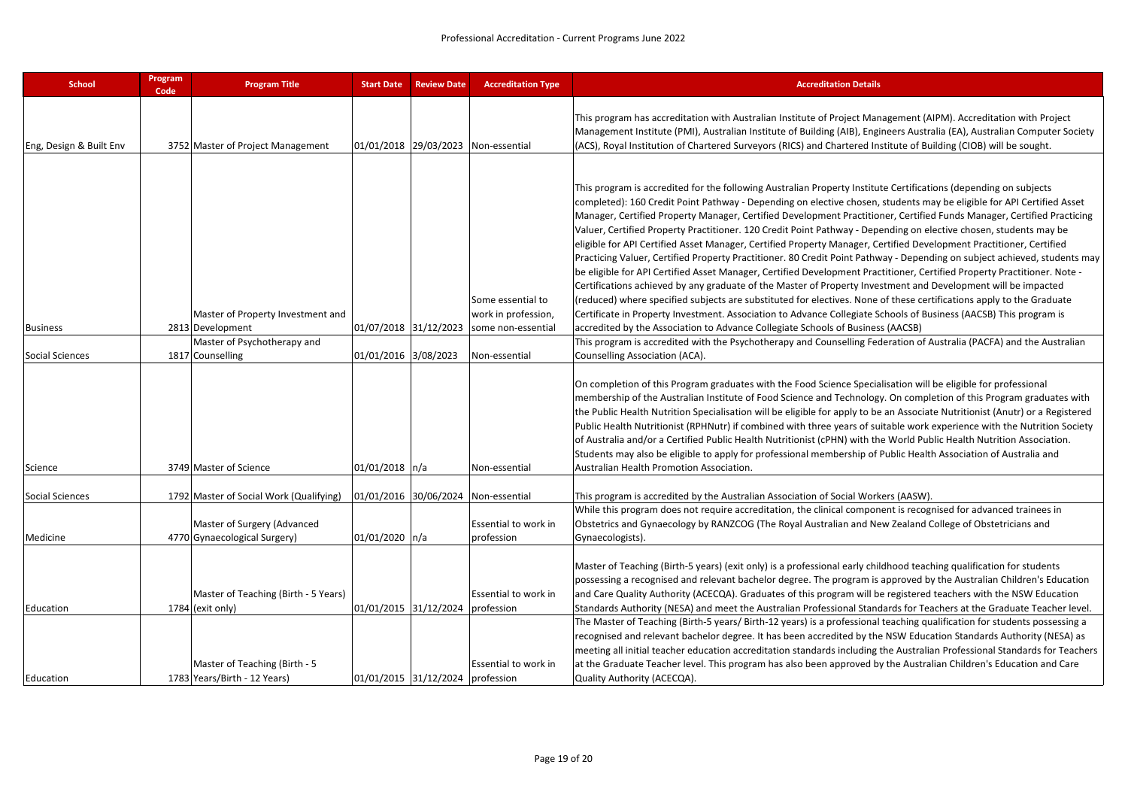| <b>School</b>           | Program<br>Code | <b>Program Title</b>                                          | <b>Start Date</b>     | <b>Review Date</b>               | <b>Accreditation Type</b>                 | <b>Accreditation Details</b>                                                                                                                                                                                                                                                                                                                                                                                                                                                                                                                                                                                                                                                                                                                                                                                                                                                                                                                                                                                                                                                                                      |
|-------------------------|-----------------|---------------------------------------------------------------|-----------------------|----------------------------------|-------------------------------------------|-------------------------------------------------------------------------------------------------------------------------------------------------------------------------------------------------------------------------------------------------------------------------------------------------------------------------------------------------------------------------------------------------------------------------------------------------------------------------------------------------------------------------------------------------------------------------------------------------------------------------------------------------------------------------------------------------------------------------------------------------------------------------------------------------------------------------------------------------------------------------------------------------------------------------------------------------------------------------------------------------------------------------------------------------------------------------------------------------------------------|
| Eng, Design & Built Env |                 | 3752 Master of Project Management                             |                       |                                  | 01/01/2018 29/03/2023 Non-essential       | This program has accreditation with Australian Institute of Project Management (AIPM). Accreditation with Project<br>Management Institute (PMI), Australian Institute of Building (AIB), Engineers Australia (EA), Australian Computer Society<br>(ACS), Royal Institution of Chartered Surveyors (RICS) and Chartered Institute of Building (CIOB) will be sought.                                                                                                                                                                                                                                                                                                                                                                                                                                                                                                                                                                                                                                                                                                                                               |
|                         |                 |                                                               |                       |                                  |                                           |                                                                                                                                                                                                                                                                                                                                                                                                                                                                                                                                                                                                                                                                                                                                                                                                                                                                                                                                                                                                                                                                                                                   |
|                         |                 |                                                               |                       |                                  | Some essential to                         | This program is accredited for the following Australian Property Institute Certifications (depending on subjects<br>completed): 160 Credit Point Pathway - Depending on elective chosen, students may be eligible for API Certified Asset<br>Manager, Certified Property Manager, Certified Development Practitioner, Certified Funds Manager, Certified Practicing<br>Valuer, Certified Property Practitioner. 120 Credit Point Pathway - Depending on elective chosen, students may be<br>eligible for API Certified Asset Manager, Certified Property Manager, Certified Development Practitioner, Certified<br>Practicing Valuer, Certified Property Practitioner. 80 Credit Point Pathway - Depending on subject achieved, students may<br>be eligible for API Certified Asset Manager, Certified Development Practitioner, Certified Property Practitioner. Note -<br>Certifications achieved by any graduate of the Master of Property Investment and Development will be impacted<br>(reduced) where specified subjects are substituted for electives. None of these certifications apply to the Graduate |
| <b>Business</b>         |                 | Master of Property Investment and<br>2813 Development         | 01/07/2018 31/12/2023 |                                  | work in profession,<br>some non-essential | Certificate in Property Investment. Association to Advance Collegiate Schools of Business (AACSB) This program is<br>accredited by the Association to Advance Collegiate Schools of Business (AACSB)                                                                                                                                                                                                                                                                                                                                                                                                                                                                                                                                                                                                                                                                                                                                                                                                                                                                                                              |
|                         |                 | Master of Psychotherapy and                                   |                       |                                  |                                           | This program is accredited with the Psychotherapy and Counselling Federation of Australia (PACFA) and the Australian                                                                                                                                                                                                                                                                                                                                                                                                                                                                                                                                                                                                                                                                                                                                                                                                                                                                                                                                                                                              |
| Social Sciences         |                 | 1817 Counselling                                              | 01/01/2016 3/08/2023  |                                  | Non-essential                             | Counselling Association (ACA).                                                                                                                                                                                                                                                                                                                                                                                                                                                                                                                                                                                                                                                                                                                                                                                                                                                                                                                                                                                                                                                                                    |
| Science                 |                 | 3749 Master of Science                                        | 01/01/2018  n/a       |                                  | Non-essential                             | On completion of this Program graduates with the Food Science Specialisation will be eligible for professional<br>membership of the Australian Institute of Food Science and Technology. On completion of this Program graduates with<br>the Public Health Nutrition Specialisation will be eligible for apply to be an Associate Nutritionist (Anutr) or a Registered<br>Public Health Nutritionist (RPHNutr) if combined with three years of suitable work experience with the Nutrition Society<br>of Australia and/or a Certified Public Health Nutritionist (cPHN) with the World Public Health Nutrition Association.<br>Students may also be eligible to apply for professional membership of Public Health Association of Australia and<br>Australian Health Promotion Association.                                                                                                                                                                                                                                                                                                                       |
|                         |                 |                                                               |                       |                                  |                                           |                                                                                                                                                                                                                                                                                                                                                                                                                                                                                                                                                                                                                                                                                                                                                                                                                                                                                                                                                                                                                                                                                                                   |
| Social Sciences         |                 | 1792 Master of Social Work (Qualifying)                       |                       |                                  | 01/01/2016 30/06/2024 Non-essential       | This program is accredited by the Australian Association of Social Workers (AASW).                                                                                                                                                                                                                                                                                                                                                                                                                                                                                                                                                                                                                                                                                                                                                                                                                                                                                                                                                                                                                                |
| Medicine                |                 | Master of Surgery (Advanced<br>4770 Gynaecological Surgery)   | 01/01/2020 n/a        |                                  | Essential to work in<br>profession        | While this program does not require accreditation, the clinical component is recognised for advanced trainees in<br>Obstetrics and Gynaecology by RANZCOG (The Royal Australian and New Zealand College of Obstetricians and<br>Gynaecologists).                                                                                                                                                                                                                                                                                                                                                                                                                                                                                                                                                                                                                                                                                                                                                                                                                                                                  |
| Education               |                 | Master of Teaching (Birth - 5 Years)<br>1784 (exit only)      | 01/01/2015 31/12/2024 |                                  | Essential to work in<br>profession        | Master of Teaching (Birth-5 years) (exit only) is a professional early childhood teaching qualification for students<br>possessing a recognised and relevant bachelor degree. The program is approved by the Australian Children's Education<br>and Care Quality Authority (ACECQA). Graduates of this program will be registered teachers with the NSW Education<br>Standards Authority (NESA) and meet the Australian Professional Standards for Teachers at the Graduate Teacher level.                                                                                                                                                                                                                                                                                                                                                                                                                                                                                                                                                                                                                        |
| Education               |                 | Master of Teaching (Birth - 5<br>1783 Years/Birth - 12 Years) |                       | 01/01/2015 31/12/2024 profession | Essential to work in                      | The Master of Teaching (Birth-5 years/Birth-12 years) is a professional teaching qualification for students possessing a<br>recognised and relevant bachelor degree. It has been accredited by the NSW Education Standards Authority (NESA) as<br>meeting all initial teacher education accreditation standards including the Australian Professional Standards for Teachers<br>at the Graduate Teacher level. This program has also been approved by the Australian Children's Education and Care<br>Quality Authority (ACECQA).                                                                                                                                                                                                                                                                                                                                                                                                                                                                                                                                                                                 |